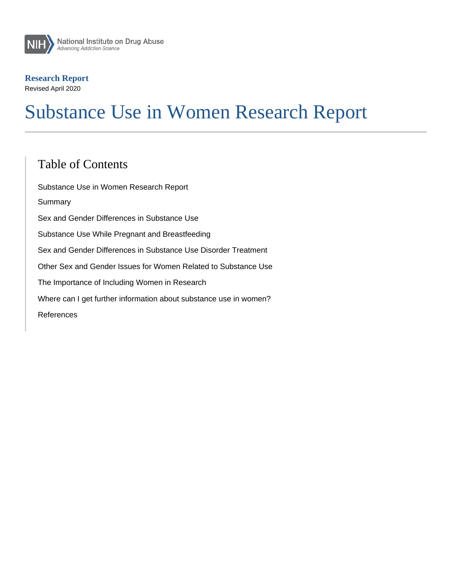# Substance Use in Women Research Report

### Table of Contents

Substance Use in Women Research Report Summary Sex and Gender Differences in Substance Use Substance Use While Pregnant and Breastfeeding Sex and Gender Differences in Substance Use Disorder Treatment Other Sex and Gender Issues for Women Related to Substance Use The Importance of Including Women in Research Where can I get further information about substance use in women? References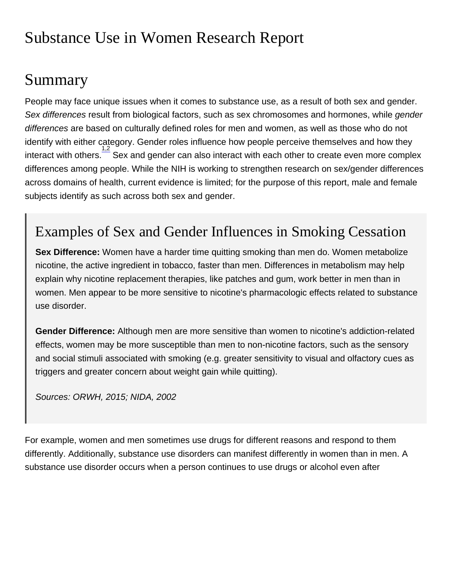# Substance Use in Women Research Report

## Summary

People may face unique issues when it comes to substance use, as a result of both sex and gender. Sex differences result from biological factors, such as sex chromosomes and hormones, while gender differences are based on culturally defined roles for men and women, as well as those who do not identify with either category. Gender roles influence how people perceive themselves and how they interact with others.<sup>[1,2](http://nida.nih.gov/node/22237)</sup> Sex and gender can also interact with each other to create even more complex differences among people. While the NIH is working to strengthen research on sex/gender differences across domains of health, current evidence is limited; for the purpose of this report, male and female subjects identify as such across both sex and gender.

## Examples of Sex and Gender Influences in Smoking Cessation

Sex Difference: Women have a harder time quitting smoking than men do. Women metabolize nicotine, the active ingredient in tobacco, faster than men. Differences in metabolism may help explain why nicotine replacement therapies, like patches and gum, work better in men than in women. Men appear to be more sensitive to nicotine's pharmacologic effects related to substance use disorder.

Gender Difference: Although men are more sensitive than women to nicotine's addiction-related effects, women may be more susceptible than men to non-nicotine factors, such as the sensory and social stimuli associated with smoking (e.g. greater sensitivity to visual and olfactory cues as triggers and greater concern about weight gain while quitting).

Sources: ORWH, 2015; NIDA, 2002

For example, women and men sometimes use drugs for different reasons and respond to them differently. Additionally, substance use disorders can manifest differently in women than in men. A substance use disorder occurs when a person continues to use drugs or alcohol even after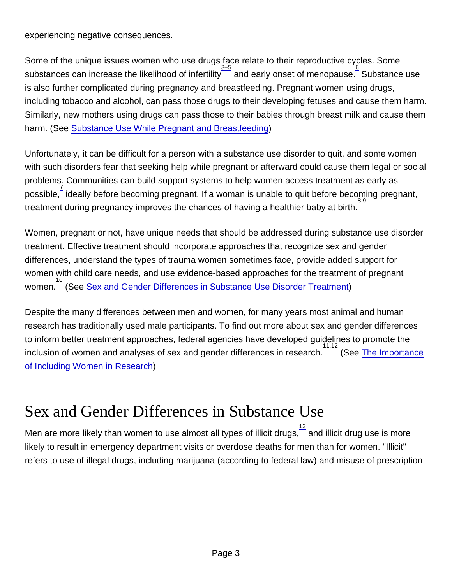experiencing negative consequences.

Some of the unique issues women who use drugs face relate to their reproductive cycles. Some substances can increase the likelihood of infertility  $\frac{3-5}{2}$  and early onset of menopause. Substance use is also further complicated during pregnancy and breastfeeding. Pregnant women using drugs, including tobacco and alcohol, can pass those drugs to their developing fetuses and cause them harm. Similarly, new mothers using drugs can pass those to their babies through breast milk and cause them harm. (See [Substance Use While Pregnant and Breastfeeding\)](http://nida.nih.gov/node/18913)

Unfortunately, it can be difficult for a person with a substance use disorder to quit, and some women with such disorders fear that seeking help while pregnant or afterward could cause them legal or social problems. Communities can build support systems to help women access treatment as early as possible,  $\frac{7}{8}$  $\frac{7}{8}$  $\frac{7}{8}$  ideally before becoming pregnant. If a woman is unable to quit before becoming pregnant, treatment during pregnancy improves the chances of having a healthier baby at birth.

Women, pregnant or not, have unique needs that should be addressed during substance use disorder treatment. Effective treatment should incorporate approaches that recognize sex and gender differences, understand the types of trauma women sometimes face, provide added support for women with child care needs, and use evidence-based approaches for the treatment of pregnant women. $\frac{10}{10}$  $\frac{10}{10}$  $\frac{10}{10}$  (See [Sex and Gender Differences in Substance Use Disorder Treatment](http://nida.nih.gov/node/18914))

Despite the many differences between men and women, for many years most animal and human research has traditionally used male participants. To find out more about sex and gender differences to inform better treatment approaches, federal agencies have developed guidelines to promote the inclusion of women and analyses of sex and gender differences in research.<sup>[11,12](http://nida.nih.gov/node/22237)</sup> (See [The Importance](http://nida.nih.gov/node/18916) [of Including Women in Research](http://nida.nih.gov/node/18916))

## Sex and Gender Differences in Substance Use

Men are more likely than women to use almost all types of illicit drugs, $\frac{13}{1}$  $\frac{13}{1}$  $\frac{13}{1}$  and illicit drug use is more likely to result in emergency department visits or overdose deaths for men than for women. "Illicit" refers to use of illegal drugs, including marijuana (according to federal law) and misuse of prescription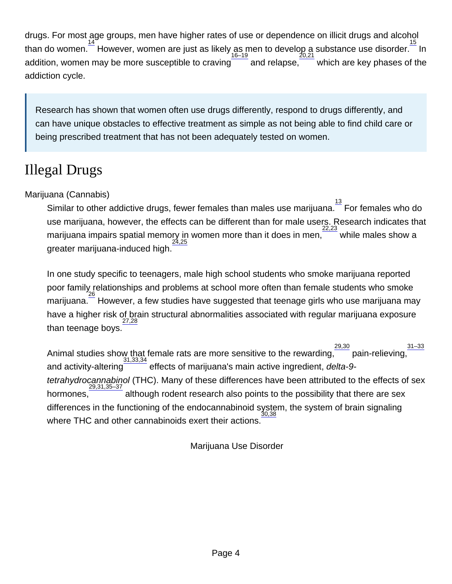drugs. For most age groups, men have higher rates of use or dependence on illicit drugs and alcohol  $\frac{14}{10}$  $\frac{14}{10}$  $\frac{14}{10}$  or  $\frac{14}{10}$  However, women are just as likely as men to develop a substance use disorder.  $\frac{15}{10}$  $\frac{15}{10}$  $\frac{15}{10}$  In addition, women may be more susceptible to craving and relapse. [20,21](http://nida.nih.gov/node/22237) which are key phases of the addiction cycle.

Research has shown that women often use drugs differently, respond to drugs differently, and can have unique obstacles to effective treatment as simple as not being able to find child care or being prescribed treatment that has not been adequately tested on women.

## Illegal Drugs

Marijuana (Cannabis)

Similar to other addictive drugs, fewer females than males use marijuana.  $\frac{13}{15}$  $\frac{13}{15}$  $\frac{13}{15}$  For females who do use marijuana, however, the effects can be different than for male users. Research indicates that marijuana impairs spatial memory in women more than it does in men, while males show a greater marijuana-induced high. [24,25](http://nida.nih.gov/node/22237)

In one study specific to teenagers, male high school students who smoke marijuana reported poor family relationships and problems at school more often than female students who smoke .<br>marijuana.  $\overline{\phantom{a}^{26}}$  $\overline{\phantom{a}^{26}}$  $\overline{\phantom{a}^{26}}$  However, a few studies have suggested that teenage girls who use marijuana may have a higher risk of brain structural abnormalities associated with regular marijuana exposure than teenage boys. [27,28](http://nida.nih.gov/node/22237)

Animal studies show that female rats are more sensitive to the rewarding,  $\frac{29,30}{29}$  $\frac{29,30}{29}$  $\frac{29,30}{29}$  pain-relieving, [31–33](http://nida.nih.gov/node/22237) and activity-altering [31,33,34](http://nida.nih.gov/node/22237) effects of marijuana's main active ingredient, delta-9 tetrahydrocannabinol (THC). Many of these differences have been attributed to the effects of sex hormones, [29,31,35–37](http://nida.nih.gov/node/22237) although rodent research also points to the possibility that there are sex differences in the functioning of the endocannabinoid system, the system of brain signaling where THC and other cannabinoids exert their actions. [30,38](http://nida.nih.gov/node/22237)

Marijuana Use Disorder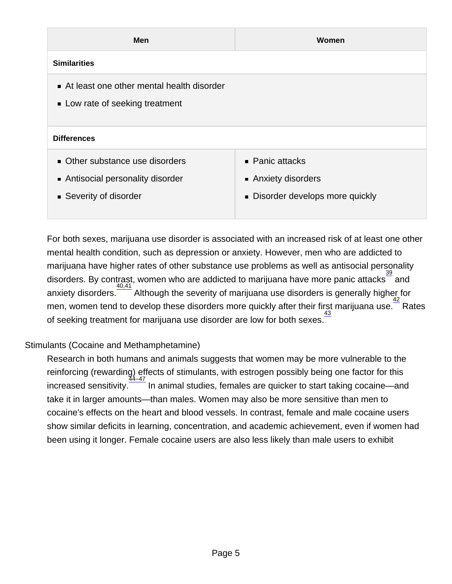| Men                                                                                          | Women                                                                               |
|----------------------------------------------------------------------------------------------|-------------------------------------------------------------------------------------|
| <b>Similarities</b>                                                                          |                                                                                     |
| At least one other mental health disorder<br>• Low rate of seeking treatment                 |                                                                                     |
| <b>Differences</b>                                                                           |                                                                                     |
| • Other substance use disorders<br>Antisocial personality disorder<br>■ Severity of disorder | $\blacksquare$ Panic attacks<br>Anxiety disorders<br>Disorder develops more quickly |

For both sexes, marijuana use disorder is associated with an increased risk of at least one other mental health condition, such as depression or anxiety. However, men who are addicted to marijuana have higher rates of other substance use problems as well as antisocial personality disorders. By contrast, women who are addicted to marijuana have more panic attacks and anxiety disorders.  $\frac{40,41}{42}$  $\frac{40,41}{42}$  $\frac{40,41}{42}$  $\frac{40,41}{42}$  $\frac{40,41}{42}$  Although the severity of marijuana use disorders is generally higher for men, women tend to develop these disorders more quickly after their first marijuana use. $^{\top}$  Rates of seeking treatment for marijuana use disorder are low for both sexes.

#### Stimulants (Cocaine and Methamphetamine)

Research in both humans and animals suggests that women may be more vulnerable to the reinforcing (rewarding) effects of stimulants, with estrogen possibly being one factor for this [44–47](http://nida.nih.gov/node/22237) increased sensitivity.  $\overline{I}$  In animal studies, females are quicker to start taking cocaine—and take it in larger amounts—than males. Women may also be more sensitive than men to cocaine's effects on the heart and blood vessels. In contrast, female and male cocaine users show similar deficits in learning, concentration, and academic achievement, even if women had been using it longer. Female cocaine users are also less likely than male users to exhibit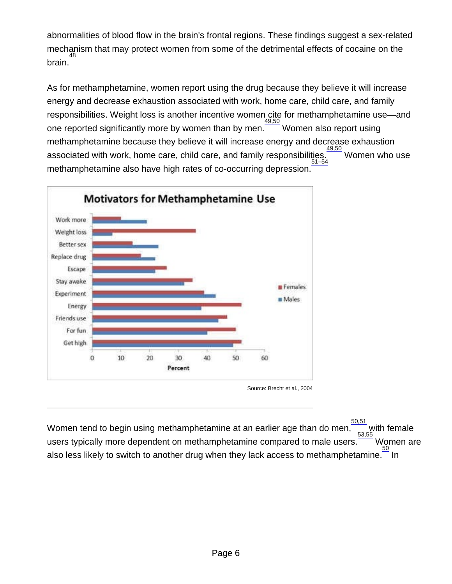abnormalities of blood flow in the brain's frontal regions. These findings suggest a sex-related mechanism that may protect women from some of the detrimental effects of cocaine on the brain.<sup>[48](http://nida.nih.gov/node/22237)</sup>

As for methamphetamine, women report using the drug because they believe it will increase energy and decrease exhaustion associated with work, home care, child care, and family responsibilities. Weight loss is another incentive women cite for methamphetamine use—and one reported significantly more by women than by men.<sup> $\frac{49,50}{2}$  $\frac{49,50}{2}$  $\frac{49,50}{2}$ </sup> Women also report using methamphetamine because they believe it will increase energy and decrease exhaustion associated with work, home care, child care, and family responsibilities. [51–54](http://nida.nih.gov/node/22237) [49,50](http://nida.nih.gov/node/22237) Women who use methamphetamine also have high rates of co-occurring depression.

Source: Brecht et al., 2004

Women tend to begin using methamphetamine at an earlier age than do men, [50,51](http://nida.nih.gov/node/22237) with female users typically more dependent on methamphetamine compared to male users. [53,55](http://nida.nih.gov/node/22237) Women are also less likely to switch to another drug when they lack access to methamphetamine.  $\frac{50}{50}$  $\frac{50}{50}$  $\frac{50}{50}$  In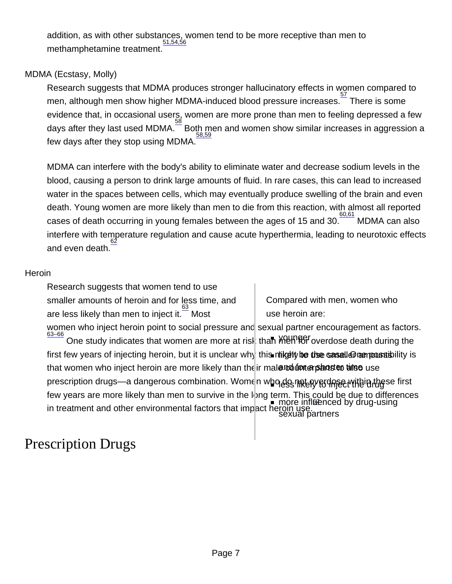addition, as with other substances, women tend to be more receptive than men to [51,54,56](http://nida.nih.gov/node/22237) methamphetamine treatment.

#### MDMA (Ecstasy, Molly)

Research suggests that MDMA produces stronger hallucinatory effects in women compared to men, although men show higher MDMA-induced blood pressure increases. [57](http://nida.nih.gov/node/22237) There is some evidence that, in occasional users, women are more prone than men to feeling depressed a few days after they last used MDMA. $\frac{58}{5}$  $\frac{58}{5}$  $\frac{58}{5}$  Both men and women show similar increases in aggression a few days after they stop using MDMA. [58,59](http://nida.nih.gov/node/22237)

MDMA can interfere with the body's ability to eliminate water and decrease sodium levels in the blood, causing a person to drink large amounts of fluid. In rare cases, this can lead to increased water in the spaces between cells, which may eventually produce swelling of the brain and even death. Young women are more likely than men to die from this reaction, with almost all reported cases of death occurring in young females between the ages of 15 and 30. [60,61](http://nida.nih.gov/node/22237) MDMA can also interfere with temperature regulation and cause acute hyperthermia, leading to neurotoxic effects [62](http://nida.nih.gov/node/22237) and even death.

#### **Heroin**

Research suggests that women tend to use smaller amounts of heroin and for less time, and are less likely than men to inject it.<sup>[63](http://nida.nih.gov/node/22237)</sup> Most

Compared with men, women who use heroin are:

women who inject heroin point to social pressure and sexual partner encouragement as factors. [63–66](http://nida.nih.gov/node/22237) One study indicates that women are more at risk than MUNISF overdose death during the first few years of injecting heroin, but it is unclear why this milgelty be thse sasellலி amousability is that women who inject heroin are more likely than the ir mal@rootonterparts to the use prescription drugs—a dangerous combination. Women w**ho do not apper with the** se first few years are more likely than men to survive in the long term. This could be due to differences in treatment and other environmental factors that impact heroin use... there is drug-using sexual partners

### Prescription Drugs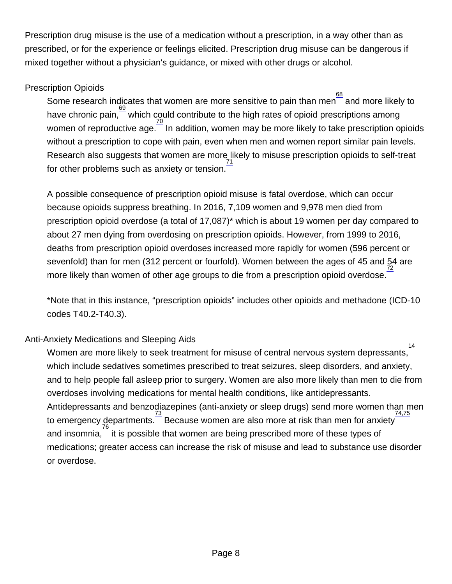Prescription drug misuse is the use of a medication without a prescription, in a way other than as prescribed, or for the experience or feelings elicited. Prescription drug misuse can be dangerous if mixed together without a physician's guidance, or mixed with other drugs or alcohol.

#### Prescription Opioids

Some research indicates that women are more sensitive to pain than men $\frac{68}{\phantom{1}}$  $\frac{68}{\phantom{1}}$  $\frac{68}{\phantom{1}}$  and more likely to have chronic pain,  $\frac{69}{5}$  $\frac{69}{5}$  $\frac{69}{5}$  which could contribute to the high rates of opioid prescriptions among women of reproductive age.  $\frac{70}{2}$  $\frac{70}{2}$  $\frac{70}{2}$  In addition, women may be more likely to take prescription opioids without a prescription to cope with pain, even when men and women report similar pain levels. Research also suggests that women are more likely to misuse prescription opioids to self-treat for other problems such as anxiety or tension. [71](http://nida.nih.gov/node/22237)

A possible consequence of prescription opioid misuse is fatal overdose, which can occur because opioids suppress breathing. In 2016, 7,109 women and 9,978 men died from prescription opioid overdose (a total of 17,087)\* which is about 19 women per day compared to about 27 men dying from overdosing on prescription opioids. However, from 1999 to 2016, deaths from prescription opioid overdoses increased more rapidly for women (596 percent or sevenfold) than for men (312 percent or fourfold). Women between the ages of 45 and 54 are more likely than women of other age groups to die from a prescription opioid overdose.

\*Note that in this instance, "prescription opioids" includes other opioids and methadone (ICD-10 codes T40.2-T40.3).

#### Anti-Anxiety Medications and Sleeping Aids

Women are more likely to seek treatment for misuse of central nervous system depressants, [14](http://nida.nih.gov/node/22237) which include sedatives sometimes prescribed to treat seizures, sleep disorders, and anxiety, and to help people fall asleep prior to surgery. Women are also more likely than men to die from overdoses involving medications for mental health conditions, like antidepressants. Antidepressants and benzodiazepines (anti-anxiety or sleep drugs) send more women than men to emergency departments.  $\frac{73}{76}$  $\frac{73}{76}$  $\frac{73}{76}$  $\frac{73}{76}$  $\frac{73}{76}$  Because women are also more at risk than men for anxiety [74,75](http://nida.nih.gov/node/22237) and insomnia, $\overline{\phantom{\alpha}}$  it is possible that women are being prescribed more of these types of medications; greater access can increase the risk of misuse and lead to substance use disorder or overdose.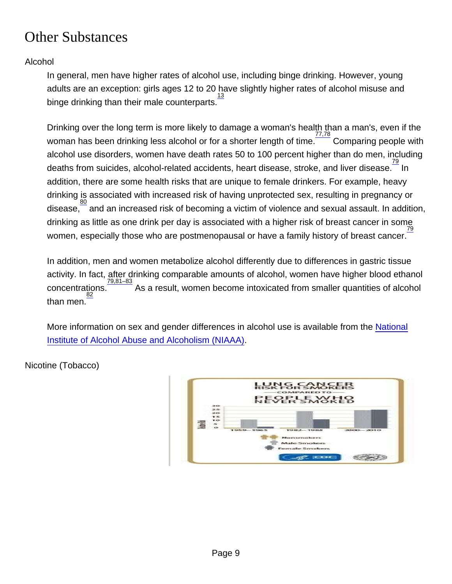## Other Substances

#### Alcohol

In general, men have higher rates of alcohol use, including binge drinking. However, young adults are an exception: girls ages 12 to 20 have slightly higher rates of alcohol misuse and binge drinking than their male counterparts. [13](http://nida.nih.gov/node/22237)

Drinking over the long term is more likely to damage a woman's health than a man's, even if the woman has been drinking less alcohol or for a shorter length of time.  $\frac{77,78}{2}$  $\frac{77,78}{2}$  $\frac{77,78}{2}$  Comparing people with alcohol use disorders, women have death rates 50 to 100 percent higher than do men, including deaths from suicides, alcohol-related accidents, heart disease, stroke, and liver disease.  $\frac{79}{1}$  $\frac{79}{1}$  $\frac{79}{1}$  In addition, there are some health risks that are unique to female drinkers. For example, heavy drinking is associated with increased risk of having unprotected sex, resulting in pregnancy or disease, [80](http://nida.nih.gov/node/22237) and an increased risk of becoming a victim of violence and sexual assault. In addition, drinking as little as one drink per day is associated with a higher risk of breast cancer in some women, especially those who are postmenopausal or have a family history of breast cancer. [79](http://nida.nih.gov/node/22237)

In addition, men and women metabolize alcohol differently due to differences in gastric tissue activity. In fact, after drinking comparable amounts of alcohol, women have higher blood ethanol concentrations.  $9,81-83$  As a result, women become intoxicated from smaller quantities of alcohol than men. [82](http://nida.nih.gov/node/22237)

More information on sex and gender differences in alcohol use is available from the [National](https://www.niaaa.nih.gov/alcohol-health/special-populations-co-occurring-disorders/women) [Institute of Alcohol Abuse and Alcoholism \(NIAAA\)](https://www.niaaa.nih.gov/alcohol-health/special-populations-co-occurring-disorders/women).

Nicotine (Tobacco)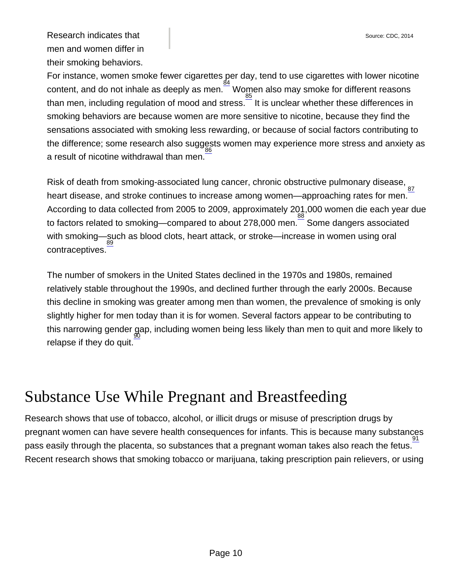Research indicates that men and women differ in their smoking behaviors.

For instance, women smoke fewer cigarettes per day, tend to use cigarettes with lower nicotine content, and do not inhale as deeply as men.  $\frac{g_4}{g_4}$  Women also may smoke for different reasons than men, including regulation of mood and stress.<sup>[85](http://nida.nih.gov/node/22237)</sup> It is unclear whether these differences in smoking behaviors are because women are more sensitive to nicotine, because they find the sensations associated with smoking less rewarding, or because of social factors contributing to the difference; some research also suggests women may experience more stress and anxiety as a result of nicotine withdrawal than men. [86](http://nida.nih.gov/node/22237)

Risk of death from smoking-associated lung cancer, chronic obstructive pulmonary disease, <sub>[87](http://nida.nih.gov/node/22237)</sub> heart disease, and stroke continues to increase among women—approaching rates for men. According to data collected from 2005 to 2009, approximately 201,000 women die each year due to factors related to smoking—compared to about 278,000 men. [88](http://nida.nih.gov/node/22237) Some dangers associated with smoking—such as blood clots, heart attack, or stroke—increase in women using oral  $_{89}$  $_{89}$  $_{89}$ contraceptives.

The number of smokers in the United States declined in the 1970s and 1980s, remained relatively stable throughout the 1990s, and declined further through the early 2000s. Because this decline in smoking was greater among men than women, the prevalence of smoking is only slightly higher for men today than it is for women. Several factors appear to be contributing to this narrowing gender gap, including women being less likely than men to quit and more likely to relapse if they do quit.

## Substance Use While Pregnant and Breastfeeding

Research shows that use of tobacco, alcohol, or illicit drugs or misuse of prescription drugs by pregnant women can have severe health consequences for infants. This is because many substances pass easily through the placenta, so substances that a pregnant woman takes also reach the fetus. [91](http://nida.nih.gov/publications/research-reports/substance-use-in-women/references) Recent research shows that smoking tobacco or marijuana, taking prescription pain relievers, or using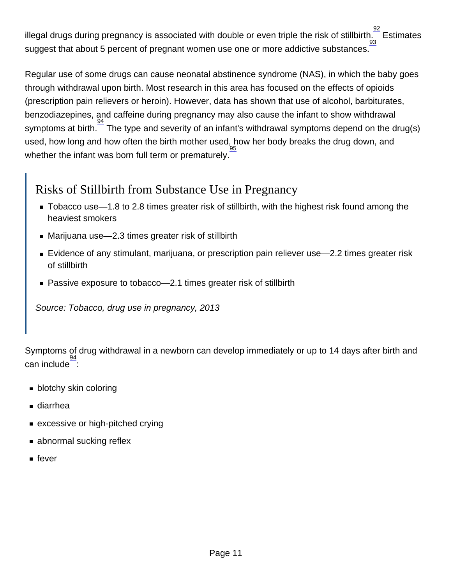illegal drugs during pregnancy is associated with double or even triple the risk of stillbirth.  $\frac{92}{100}$  $\frac{92}{100}$  $\frac{92}{100}$ **Estimates** suggest that about 5 percent of pregnant women use one or more addictive substances. [93](http://nida.nih.gov/publications/research-reports/substance-use-in-women/references)

Regular use of some drugs can cause neonatal abstinence syndrome (NAS), in which the baby goes through withdrawal upon birth. Most research in this area has focused on the effects of opioids (prescription pain relievers or heroin). However, data has shown that use of alcohol, barbiturates, benzodiazepines, and caffeine during pregnancy may also cause the infant to show withdrawal symptoms at birth. <sup>[94](http://nida.nih.gov/publications/research-reports/substance-use-in-women/references)</sup> The type and severity of an infant's withdrawal symptoms depend on the drug(s) used, how long and how often the birth mother used, how her body breaks the drug down, and whether the infant was born full term or prematurely. [95](http://nida.nih.gov/publications/research-reports/substance-use-in-women/references)

### Risks of Stillbirth from Substance Use in Pregnancy

- Tobacco use—1.8 to 2.8 times greater risk of stillbirth, with the highest risk found among the heaviest smokers
- Marijuana use—2.3 times greater risk of stillbirth
- Evidence of any stimulant, marijuana, or prescription pain reliever use—2.2 times greater risk of stillbirth
- Passive exposure to tobacco—2.1 times greater risk of stillbirth

Source: Tobacco, drug use in pregnancy, 2013

Symptoms of drug withdrawal in a newborn can develop immediately or up to 14 days after birth and  $\frac{94}{2}$  $\frac{94}{2}$  $\frac{94}{2}$ :

- **blotchy skin coloring**
- diarrhea
- excessive or high-pitched crying
- **abnormal sucking reflex**
- $\blacksquare$  fever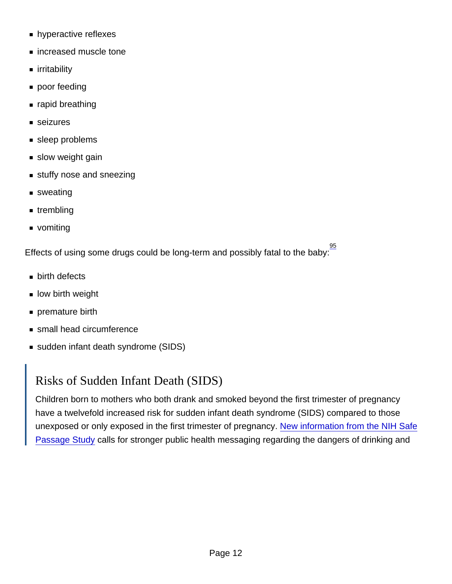- **hyperactive reflexes**
- increased muscle tone
- irritability
- poor feeding
- rapid breathing
- seizures
- sleep problems
- slow weight gain
- stuffy nose and sneezing
- sweating
- trembling
- vomiting

Effects of using some drugs could be long-term and possibly fatal to the baby:  $\frac{95}{2}$  $\frac{95}{2}$  $\frac{95}{2}$ 

- **birth defects**
- low birth weight
- **premature birth**
- **small head circumference**
- sudden infant death syndrome (SIDS)

### Risks of Sudden Infant Death (SIDS)

Children born to mothers who both drank and smoked beyond the first trimester of pregnancy have a twelvefold increased risk for sudden infant death syndrome (SIDS) compared to those unexposed or only exposed in the first trimester of pregnancy. [New information from the NIH Safe](https://www.nih.gov/news-events/news-releases/combined-prenatal-smoking-drinking-greatly-increases-sids-risk) [Passage Study](https://www.nih.gov/news-events/news-releases/combined-prenatal-smoking-drinking-greatly-increases-sids-risk) calls for stronger public health messaging regarding the dangers of drinking and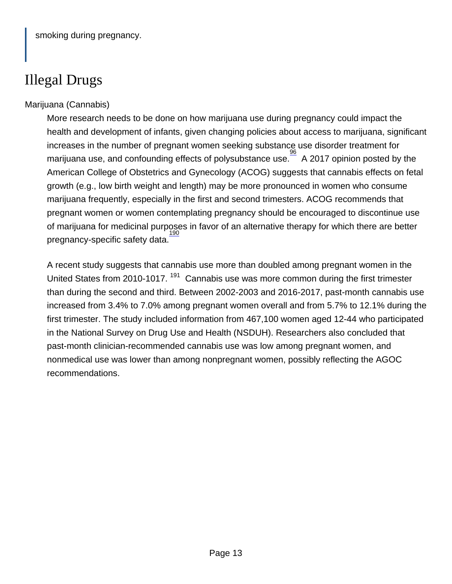## Illegal Drugs

#### Marijuana (Cannabis)

More research needs to be done on how marijuana use during pregnancy could impact the health and development of infants, given changing policies about access to marijuana, significant increases in the number of pregnant women seeking substance use disorder treatment for marijuana use, and confounding effects of polysubstance use.  $\frac{96}{96}$  $\frac{96}{96}$  $\frac{96}{96}$  A 2017 opinion posted by the American College of Obstetrics and Gynecology (ACOG) suggests that cannabis effects on fetal growth (e.g., low birth weight and length) may be more pronounced in women who consume marijuana frequently, especially in the first and second trimesters. ACOG recommends that pregnant women or women contemplating pregnancy should be encouraged to discontinue use of marijuana for medicinal purposes in favor of an alternative therapy for which there are better pregnancy-specific safety data. [190](http://nida.nih.gov/publications/research-reports/substance-use-in-women/references)

A recent study suggests that cannabis use more than doubled among pregnant women in the United States from 2010-1017. <sup>[191](http://nida.nih.gov/publications/research-reports/substance-use-in-women/references)</sup> Cannabis use was more common during the first trimester than during the second and third. Between 2002-2003 and 2016-2017, past-month cannabis use increased from 3.4% to 7.0% among pregnant women overall and from 5.7% to 12.1% during the first trimester. The study included information from 467,100 women aged 12-44 who participated in the National Survey on Drug Use and Health (NSDUH). Researchers also concluded that past-month clinician-recommended cannabis use was low among pregnant women, and nonmedical use was lower than among nonpregnant women, possibly reflecting the AGOC recommendations.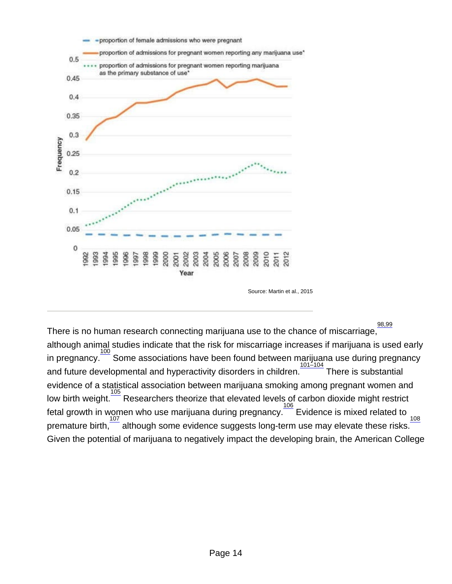Source: Martin et al., 2015

There is no human research connecting marijuana use to the chance of miscarriage,  $\frac{98.99}{3}$ although animal studies indicate that the risk for miscarriage increases if marijuana is used early in pregnancy.<sup>[100](http://nida.nih.gov/publications/research-reports/substance-use-in-women/references)</sup> Some associations have been found between marijuana use during pregnancy and future developmental and hyperactivity disorders in children.<sup> $1$ </sup> There is substantial evidence of a statistical association between marijuana smoking among pregnant women and low birth weight. **[105](http://nida.nih.gov/publications/research-reports/substance-use-in-women/references)** Researchers theorize that elevated levels of carbon dioxide might restrict fetal growth in women who use marijuana during pregnancy. **[106](http://nida.nih.gov/publications/research-reports/substance-use-in-women/references)** Evidence is mixed related to <sub>[108](http://nida.nih.gov/publications/research-reports/substance-use-in-women/references)</sub> premature birth,  $\frac{107}{9}$  $\frac{107}{9}$  $\frac{107}{9}$  although some evidence suggests long-term use may elevate these risks. Given the potential of marijuana to negatively impact the developing brain, the American College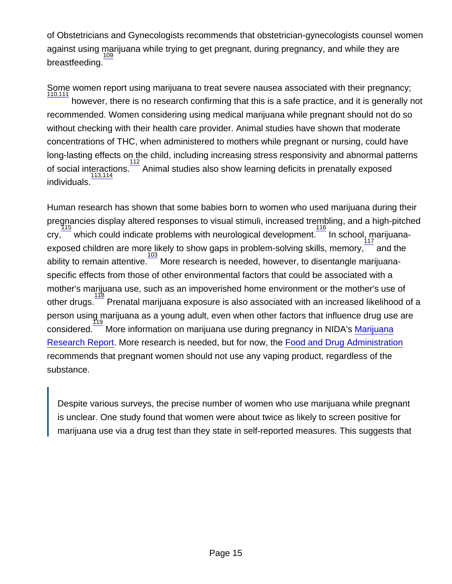of Obstetricians and Gynecologists recommends that obstetrician-gynecologists counsel women against using marijuana while trying to get pregnant, during pregnancy, and while they are breastfeeding. [109](http://nida.nih.gov/publications/research-reports/substance-use-in-women/references)

Some women report using marijuana to treat severe nausea associated with their pregnancy; [110,111](http://nida.nih.gov/publications/research-reports/substance-use-in-women/references) however, there is no research confirming that this is a safe practice, and it is generally not recommended. Women considering using medical marijuana while pregnant should not do so without checking with their health care provider. Animal studies have shown that moderate concentrations of THC, when administered to mothers while pregnant or nursing, could have long-lasting effects on the child, including increasing stress responsivity and abnormal patterns of social interactions.<sup>[112](http://nida.nih.gov/publications/research-reports/substance-use-in-women/references)</sup> Animal studies also show learning deficits in prenatally exposed individuals.<sup>[113,114](http://nida.nih.gov/publications/research-reports/substance-use-in-women/references)</sup>

Human research has shown that some babies born to women who used marijuana during their pregnancies display altered responses to visual stimuli, increased trembling, and a high-pitched [115](http://nida.nih.gov/publications/research-reports/substance-use-in-women/references)  $\mathsf{cry},$ which could indicate problems with neurological development. <sup>[116](http://nida.nih.gov/publications/research-reports/substance-use-in-women/references)</sup> In school, marijuanaexposed children are more likely to show gaps in problem-solving skills, memory, $\overline{\phantom{a}}$  and the ability to remain attentive.<sup>[103](http://nida.nih.gov/publications/research-reports/substance-use-in-women/references)</sup> More research is needed, however, to disentangle marijuanaspecific effects from those of other environmental factors that could be associated with a mother's marijuana use, such as an impoverished home environment or the mother's use of other drugs. [118](http://nida.nih.gov/publications/research-reports/substance-use-in-women/references) Prenatal marijuana exposure is also associated with an increased likelihood of a person using marijuana as a young adult, even when other factors that influence drug use are .<br>considered. More information on marijuana use during pregnancy in NIDA's [Marijuana](http://nida.nih.gov/publications/research-reports/marijuana) [Research Report](http://nida.nih.gov/publications/research-reports/marijuana). More research is needed, but for now, the [Food and Drug Administration](https://www.fda.gov/consumers/consumer-updates/vaping-illness-update-fda-warns-public-stop-using-tetrahydrocannabinol-thc-containing-vaping) recommends that pregnant women should not use any vaping product, regardless of the substance.

Despite various surveys, the precise number of women who use marijuana while pregnant is unclear. One study found that women were about twice as likely to screen positive for marijuana use via a drug test than they state in self-reported measures. This suggests that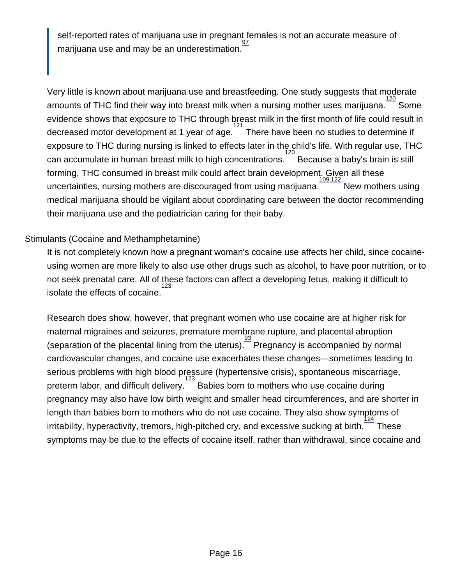self-reported rates of marijuana use in pregnant females is not an accurate measure of [97](http://nida.nih.gov/publications/research-reports/substance-use-in-women/references) marijuana use and may be an underestimation.

Very little is known about marijuana use and breastfeeding. One study suggests that moderate amounts of THC find their way into breast milk when a nursing mother uses marijuana.  $\frac{120}{100}$  $\frac{120}{100}$  $\frac{120}{100}$  Some evidence shows that exposure to THC through breast milk in the first month of life could result in decreased motor development at 1 year of age.<sup>1</sup>  $\frac{121}{121}$  $\frac{121}{121}$  $\frac{121}{121}$  There have been no studies to determine if exposure to THC during nursing is linked to effects later in the child's life. With regular use, THC can accumulate in human breast milk to high concentrations.  $\frac{120}{2}$  $\frac{120}{2}$  $\frac{120}{2}$  Because a baby's brain is still forming, THC consumed in breast milk could affect brain development. Given all these uncertainties, nursing mothers are discouraged from using marijuana. [109,122](http://nida.nih.gov/publications/research-reports/substance-use-in-women/references) New mothers using medical marijuana should be vigilant about coordinating care between the doctor recommending their marijuana use and the pediatrician caring for their baby.

#### Stimulants (Cocaine and Methamphetamine)

It is not completely known how a pregnant woman's cocaine use affects her child, since cocaineusing women are more likely to also use other drugs such as alcohol, to have poor nutrition, or to not seek prenatal care. All of these factors can affect a developing fetus, making it difficult to isolate the effects of cocaine.

Research does show, however, that pregnant women who use cocaine are at higher risk for maternal migraines and seizures, premature membrane rupture, and placental abruption (separation of the placental lining from the uterus).  $\frac{93}{2}$  $\frac{93}{2}$  $\frac{93}{2}$  Pregnancy is accompanied by normal cardiovascular changes, and cocaine use exacerbates these changes—sometimes leading to serious problems with high blood pressure (hypertensive crisis), spontaneous miscarriage, preterm labor, and difficult delivery. <br> **Example Babies born to mothers who use cocaine during** pregnancy may also have low birth weight and smaller head circumferences, and are shorter in length than babies born to mothers who do not use cocaine. They also show symptoms of  $\frac{3}{24}$  irritability, hyperactivity, tremors, high-pitched cry, and excessive sucking at birth. These symptoms may be due to the effects of cocaine itself, rather than withdrawal, since cocaine and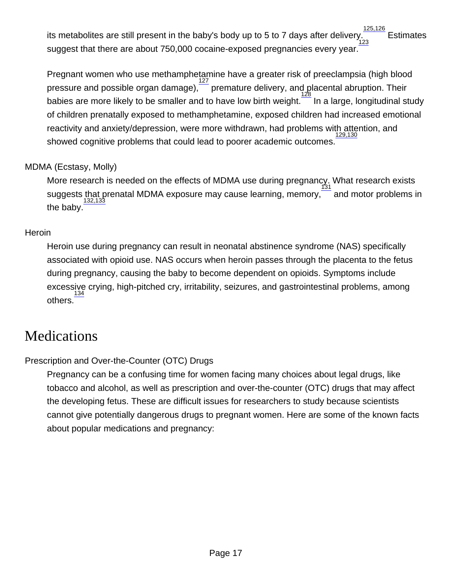its metabolites are still present in the baby's body up to 5 to 7 days after delivery. [125,126](http://nida.nih.gov/publications/research-reports/substance-use-in-women/references) **Estimates** suggest that there are about 750,000 cocaine-exposed pregnancies every year. [123](http://nida.nih.gov/publications/research-reports/substance-use-in-women/references)

Pregnant women who use methamphetamine have a greater risk of preeclampsia (high blood pressure and possible organ damage),  $\frac{127}{127}$  $\frac{127}{127}$  $\frac{127}{127}$  $\overline{\mathbb{F}}$  premature delivery, and placental abruption. Their babies are more likely to be smaller and to have low birth weight. [128](http://nida.nih.gov/publications/research-reports/substance-use-in-women/references) In a large, longitudinal study of children prenatally exposed to methamphetamine, exposed children had increased emotional reactivity and anxiety/depression, were more withdrawn, had problems with attention, and showed cognitive problems that could lead to poorer academic outcomes. [129,130](http://nida.nih.gov/publications/research-reports/substance-use-in-women/references)

#### MDMA (Ecstasy, Molly)

More research is needed on the effects of MDMA use during pregnancy. What research exists suggests that prenatal MDMA exposure may cause learning, memory, [131](http://nida.nih.gov/publications/research-reports/substance-use-in-women/references) and motor problems in the baby. [132,133](http://nida.nih.gov/publications/research-reports/substance-use-in-women/references)

#### **Heroin**

Heroin use during pregnancy can result in neonatal abstinence syndrome (NAS) specifically associated with opioid use. NAS occurs when heroin passes through the placenta to the fetus during pregnancy, causing the baby to become dependent on opioids. Symptoms include excessive crying, high-pitched cry, irritability, seizures, and gastrointestinal problems, among others. [134](http://nida.nih.gov/publications/research-reports/substance-use-in-women/references)

### **Medications**

#### Prescription and Over-the-Counter (OTC) Drugs

Pregnancy can be a confusing time for women facing many choices about legal drugs, like tobacco and alcohol, as well as prescription and over-the-counter (OTC) drugs that may affect the developing fetus. These are difficult issues for researchers to study because scientists cannot give potentially dangerous drugs to pregnant women. Here are some of the known facts about popular medications and pregnancy: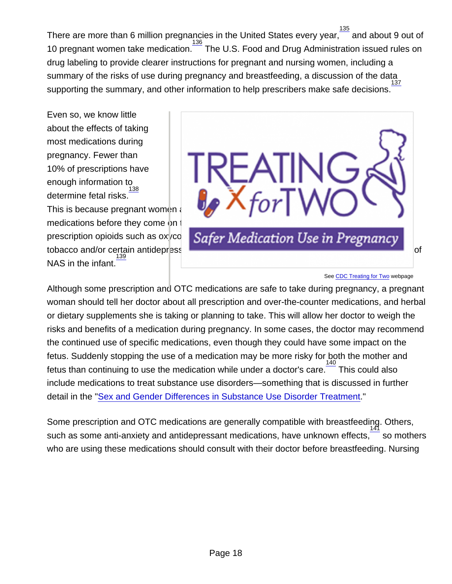There are more than 6 million pregnancies in the United States every year, $\frac{135}{120}$  $\frac{135}{120}$  $\frac{135}{120}$  and about 9 out of 10 pregnant women take medication.<sup>[136](http://nida.nih.gov/publications/research-reports/substance-use-in-women/references)</sup> The U.S. Food and Drug Administration issued rules on drug labeling to provide clearer instructions for pregnant and nursing women, including a summary of the risks of use during pregnancy and breastfeeding, a discussion of the data supporting the summary, and other information to help prescribers make safe decisions. [137](http://nida.nih.gov/publications/research-reports/substance-use-in-women/references)

Even so, we know little about the effects of taking most medications during pregnancy. Fewer than 10% of prescriptions have enough information to<br><sup>[138](http://nida.nih.gov/publications/research-reports/substance-use-in-women/references)</sup> determine fetal risks.

This is because pregnant women are often not included in studies to determine safety of new medications before they come on the market.  $\frac{138}{2}$  $\frac{138}{2}$  $\frac{138}{2}$  One study shows that use of short-acting prescription opioids such as ox codone during pregnancy, especially when combined with tobacco and/or certain antidepres[sant medications, is associated with an increased likelihood](http://nida.nih.gov/sites/default/files/2020-04/treatingfortwo.png) of NAS in the infant. [139](http://nida.nih.gov/publications/research-reports/substance-use-in-women/references)

#### See [CDC Treating for Two](https://www.cdc.gov/pregnancy/meds/treatingfortwo/) webpage

Although some prescription and OTC medications are safe to take during pregnancy, a pregnant woman should tell her doctor about all prescription and over-the-counter medications, and herbal or dietary supplements she is taking or planning to take. This will allow her doctor to weigh the risks and benefits of a medication during pregnancy. In some cases, the doctor may recommend the continued use of specific medications, even though they could have some impact on the fetus. Suddenly stopping the use of a medication may be more risky for both the mother and fetus than continuing to use the medication while under a doctor's care. $\frac{140}{10}$  $\frac{140}{10}$  $\frac{140}{10}$  This could also include medications to treat substance use disorders—something that is discussed in further detail in the "[Sex and Gender Differences in Substance Use Disorder Treatment](http://nida.nih.gov/node/18914)."

Some prescription and OTC medications are generally compatible with breastfeeding. Others, [141](http://nida.nih.gov/publications/research-reports/substance-use-in-women/references) such as some anti-anxiety and antidepressant medications, have unknown effects, so mothers who are using these medications should consult with their doctor before breastfeeding. Nursing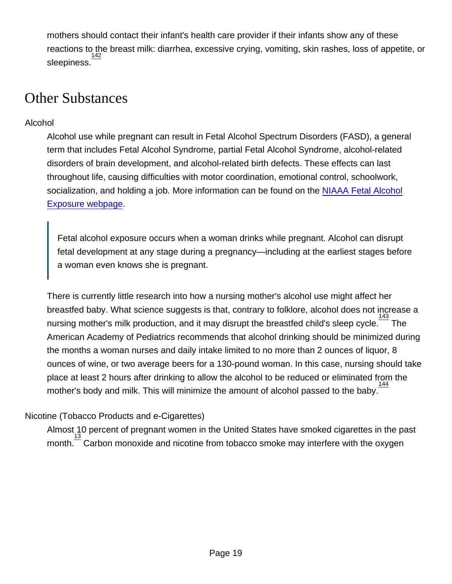mothers should contact their infant's health care provider if their infants show any of these reactions to the breast milk: diarrhea, excessive crying, vomiting, skin rashes, loss of appetite, or sleepiness.<sup>[142](http://nida.nih.gov/publications/research-reports/substance-use-in-women/references)</sup>

### Other Substances

#### Alcohol

Alcohol use while pregnant can result in Fetal Alcohol Spectrum Disorders (FASD), a general term that includes Fetal Alcohol Syndrome, partial Fetal Alcohol Syndrome, alcohol-related disorders of brain development, and alcohol-related birth defects. These effects can last throughout life, causing difficulties with motor coordination, emotional control, schoolwork, socialization, and holding a job. More information can be found on the [NIAAA Fetal Alcohol](http://www.niaaa.nih.gov/alcohol-health/fetal-alcohol-exposure) [Exposure webpage](http://www.niaaa.nih.gov/alcohol-health/fetal-alcohol-exposure).

Fetal alcohol exposure occurs when a woman drinks while pregnant. Alcohol can disrupt fetal development at any stage during a pregnancy—including at the earliest stages before a woman even knows she is pregnant.

There is currently little research into how a nursing mother's alcohol use might affect her breastfed baby. What science suggests is that, contrary to folklore, alcohol does not increase a nursing mother's milk production, and it may disrupt the breastfed child's sleep cycle.  $\frac{143}{1}$  $\frac{143}{1}$  $\frac{143}{1}$  The American Academy of Pediatrics recommends that alcohol drinking should be minimized during the months a woman nurses and daily intake limited to no more than 2 ounces of liquor, 8 ounces of wine, or two average beers for a 130-pound woman. In this case, nursing should take place at least 2 hours after drinking to allow the alcohol to be reduced or eliminated from the .<br>mother's body and milk. This will minimize the amount of alcohol passed to the baby.  $\frac{144}{3}$  $\frac{144}{3}$  $\frac{144}{3}$ 

#### Nicotine (Tobacco Products and e-Cigarettes)

Almost 10 percent of pregnant women in the United States have smoked cigarettes in the past month.  $\frac{13}{13}$  $\frac{13}{13}$  $\frac{13}{13}$  Carbon monoxide and nicotine from tobacco smoke may interfere with the oxygen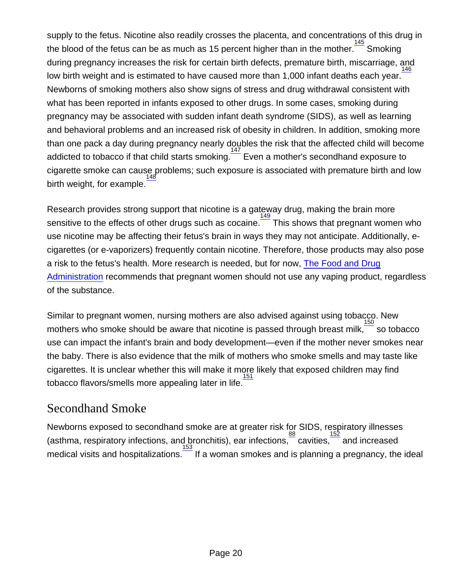supply to the fetus. Nicotine also readily crosses the placenta, and concentrations of this drug in the blood of the fetus can be as much as 15 percent higher than in the mother.  $\frac{145}{1}$  $\frac{145}{1}$  $\frac{145}{1}$  Smoking during pregnancy increases the risk for certain birth defects, premature birth, miscarriage, and low birth weight and is estimated to have caused more than 1,000 infant deaths each year. [146](http://nida.nih.gov/publications/research-reports/substance-use-in-women/references) Newborns of smoking mothers also show signs of stress and drug withdrawal consistent with what has been reported in infants exposed to other drugs. In some cases, smoking during pregnancy may be associated with sudden infant death syndrome (SIDS), as well as learning and behavioral problems and an increased risk of obesity in children. In addition, smoking more than one pack a day during pregnancy nearly doubles the risk that the affected child will become addicted to tobacco if that child starts smoking. Even a mother's secondhand exposure to cigarette smoke can cause problems; such exposure is associated with premature birth and low birth weight, for example. [148](http://nida.nih.gov/publications/research-reports/substance-use-in-women/references)

Research provides strong support that nicotine is a gateway drug, making the brain more sensitive to the effects of other drugs such as cocaine. This shows that pregnant women who use nicotine may be affecting their fetus's brain in ways they may not anticipate. Additionally, ecigarettes (or e-vaporizers) frequently contain nicotine. Therefore, those products may also pose a risk to the fetus's health. More research is needed, but for now, [The Food and Drug](https://www.fda.gov/consumers/consumer-updates/vaping-illness-update-fda-warns-public-stop-using-tetrahydrocannabinol-thc-containing-vaping) [Administration](https://www.fda.gov/consumers/consumer-updates/vaping-illness-update-fda-warns-public-stop-using-tetrahydrocannabinol-thc-containing-vaping) recommends that pregnant women should not use any vaping product, regardless of the substance.

Similar to pregnant women, nursing mothers are also advised against using tobacco. New mothers who smoke should be aware that nicotine is passed through breast milk,  $\frac{150}{3}$  $\frac{150}{3}$  $\frac{150}{3}$  so tobacco use can impact the infant's brain and body development—even if the mother never smokes near the baby. There is also evidence that the milk of mothers who smoke smells and may taste like cigarettes. It is unclear whether this will make it more likely that exposed children may find  $\frac{5}{151}$  $\frac{5}{151}$  $\frac{5}{151}$  tobacco flavors/smells more appealing later in life.  $\frac{151}{151}$ 

### Secondhand Smoke

Newborns exposed to secondhand smoke are at greater risk for SIDS, respiratory illnesses (asthma, respiratory infections, and bronchitis), ear infections,  $\frac{88}{3}$  $\frac{88}{3}$  $\frac{88}{3}$  cavities,  $\frac{152}{3}$  $\frac{152}{3}$  $\frac{152}{3}$  and increased  $\overline{\phantom{a}}$  medical visits and hospitalizations.  $\overline{\phantom{a}}^{153}$  $\overline{\phantom{a}}^{153}$  $\overline{\phantom{a}}^{153}$  If a woman smokes and is planning a pregnancy, the ideal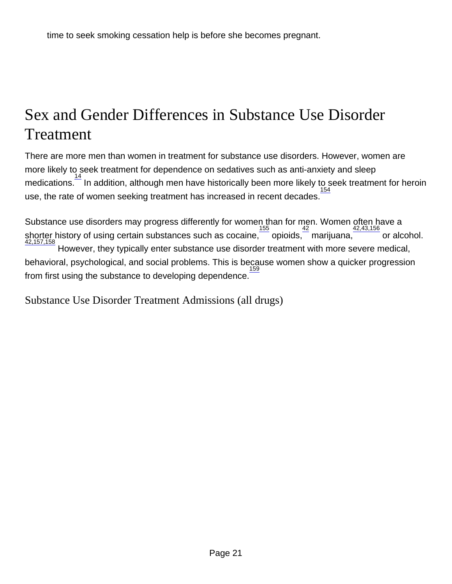## Sex and Gender Differences in Substance Use Disorder Treatment

There are more men than women in treatment for substance use disorders. However, women are more likely to seek treatment for dependence on sedatives such as anti-anxiety and sleep medications.<sup>[14](http://nida.nih.gov/node/22237)</sup> In addition, although men have historically been more likely to seek treatment for heroin use, the rate of women seeking treatment has increased in recent decades.

Substance use disorders may progress differently for women than for men. Women often have a shorter history of using certain substances such as cocaine,  $\frac{155}{2}$  $\frac{155}{2}$  $\frac{155}{2}$  opioids,  $\frac{42}{2}$  $\frac{42}{2}$  $\frac{42}{2}$  marijuana,  $\frac{42,43,156}{2}$  $\frac{42,43,156}{2}$  $\frac{42,43,156}{2}$  or alcohol.<br> $\frac{42,157,158}{2}$  $\frac{42,157,158}{2}$  $\frac{42,157,158}{2}$  However, they typically enter substance use disorder treatment with behavioral, psychological, and social problems. This is because women show a quicker progression from first using the substance to developing dependence. [159](http://nida.nih.gov/node/22237)

Substance Use Disorder Treatment Admissions (all drugs)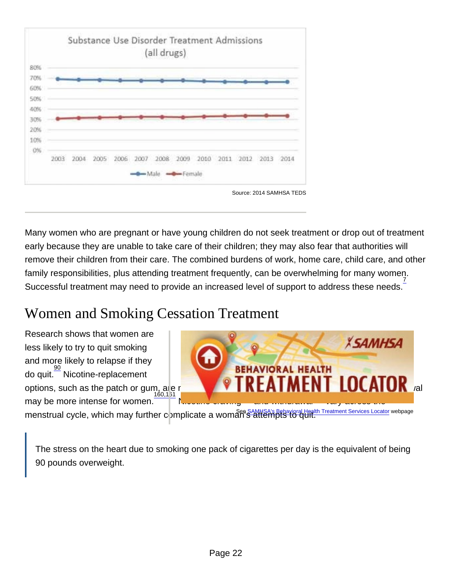Source: 2014 SAMHSA TEDS

Many women who are pregnant or have young children do not seek treatment or drop out of treatment early because they are unable to take care of their children; they may also fear that authorities will remove their children from their care. The combined burdens of work, home care, child care, and other family responsibilities, plus attending treatment frequently, can be overwhelming for many women. Successful treatment may need to provide an increased level of support to address these needs.<sup>[7](http://nida.nih.gov/node/22237)</sup>

# Women and Smoking Cessation Treatment

Research shows that women are less likely to try to quit smoking and more likely to relapse if they do quit. [90](http://nida.nih.gov/node/22237) Nicotine-replacement options, such as the patch or gum, alle not as effective for women as for men, and nicotine withdrawal may be more intense for women.  $\frac{160.131}{2}$  Nicotine craving and withdrawal vary across the menstrual cycle, which may further complicate a woman's attempts to quit.<br>menstrual cycle, which may further complicate a woman's attempts to quit.

The stress on the heart due to smoking one pack of cigarettes per day is the equivalent of being 90 pounds overweight.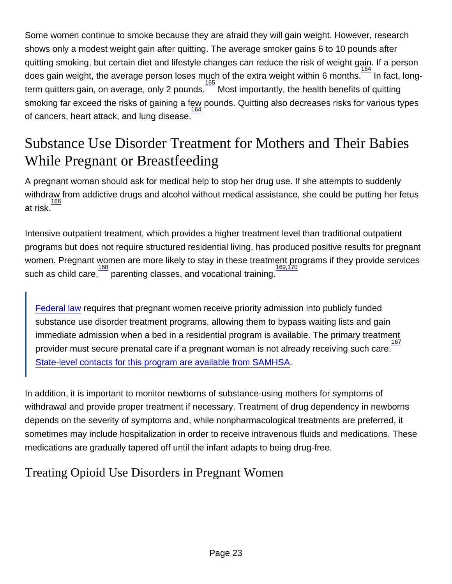Some women continue to smoke because they are afraid they will gain weight. However, research shows only a modest weight gain after quitting. The average smoker gains 6 to 10 pounds after quitting smoking, but certain diet and lifestyle changes can reduce the risk of weight gain. If a person does gain weight, the average person loses much of the extra weight within 6 months.  $\frac{164}{164}$  $\frac{164}{164}$  $\frac{164}{164}$  In fact, longterm quitters gain, on average, only 2 pounds. Most importantly, the health benefits of quitting smoking far exceed the risks of gaining a few pounds. Quitting also decreases risks for various types [164](http://nida.nih.gov/node/22237) of cancers, heart attack, and lung disease.

### Substance Use Disorder Treatment for Mothers and Their Babies While Pregnant or Breastfeeding

A pregnant woman should ask for medical help to stop her drug use. If she attempts to suddenly withdraw from addictive drugs and alcohol without medical assistance, she could be putting her fetus at risk. [166](http://nida.nih.gov/node/22237)

Intensive outpatient treatment, which provides a higher treatment level than traditional outpatient programs but does not require structured residential living, has produced positive results for pregnant women. Pregnant women are more likely to stay in these treatment programs if they provide services such as child care, $\overline{\phantom{a}}$  parenting classes, and vocational training.

[Federal law](https://www.gpo.gov/fdsys/pkg/USCODE-2010-title42/html/USCODE-2010-title42-chap6A-subchapXVII-partB-subpartii-sec300x-27.htm) requires that pregnant women receive priority admission into publicly funded substance use disorder treatment programs, allowing them to bypass waiting lists and gain immediate admission when a bed in a residential program is available. The primary treatment [167](http://nida.nih.gov/node/22237) provider must secure prenatal care if a pregnant woman is not already receiving such care. [State-level contacts for this program are available from SAMHSA.](https://www.samhsa.gov/sites/default/files/ssadirectory.pdf)

In addition, it is important to monitor newborns of substance-using mothers for symptoms of withdrawal and provide proper treatment if necessary. Treatment of drug dependency in newborns depends on the severity of symptoms and, while nonpharmacological treatments are preferred, it sometimes may include hospitalization in order to receive intravenous fluids and medications. These medications are gradually tapered off until the infant adapts to being drug-free.

### Treating Opioid Use Disorders in Pregnant Women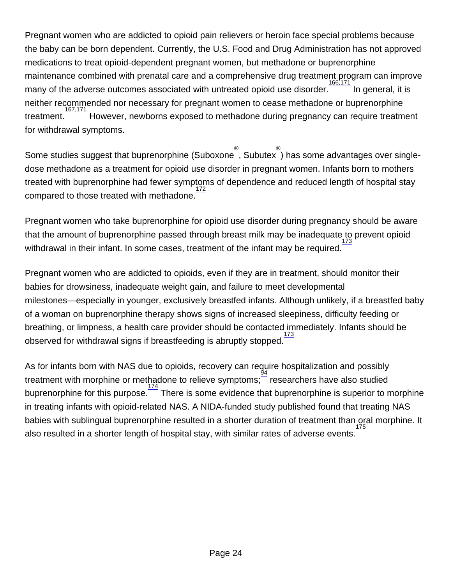Pregnant women who are addicted to opioid pain relievers or heroin face special problems because the baby can be born dependent. Currently, the U.S. Food and Drug Administration has not approved medications to treat opioid-dependent pregnant women, but methadone or buprenorphine maintenance combined with prenatal care and a comprehensive drug treatment program can improve many of the adverse outcomes associated with untreated opioid use disorder. [166,171](http://nida.nih.gov/node/22237) In general, it is neither recommended nor necessary for pregnant women to cease methadone or buprenorphine treatment. [167,171](http://nida.nih.gov/node/22237) However, newborns exposed to methadone during pregnancy can require treatment for withdrawal symptoms.

Some studies suggest that buprenorphine (Suboxoneຶ, Subutexຶ) has some advantages over singledose methadone as a treatment for opioid use disorder in pregnant women. Infants born to mothers treated with buprenorphine had fewer symptoms of dependence and reduced length of hospital stay compared to those treated with methadone. [172](http://nida.nih.gov/node/22237)

Pregnant women who take buprenorphine for opioid use disorder during pregnancy should be aware that the amount of buprenorphine passed through breast milk may be inadequate to prevent opioid [173](http://nida.nih.gov/node/22237) withdrawal in their infant. In some cases, treatment of the infant may be required.

Pregnant women who are addicted to opioids, even if they are in treatment, should monitor their babies for drowsiness, inadequate weight gain, and failure to meet developmental milestones—especially in younger, exclusively breastfed infants. Although unlikely, if a breastfed baby of a woman on buprenorphine therapy shows signs of increased sleepiness, difficulty feeding or breathing, or limpness, a health care provider should be contacted immediately. Infants should be observed for withdrawal signs if breastfeeding is abruptly stopped.

As for infants born with NAS due to opioids, recovery can require hospitalization and possibly treatment with morphine or methadone to relieve symptoms; researchers have also studied buprenorphine for this purpose.<sup>[174](http://nida.nih.gov/node/22237)</sup> There is some evidence that buprenorphine is superior to morphine in treating infants with opioid-related NAS. A NIDA-funded study published found that treating NAS babies with sublingual buprenorphine resulted in a shorter duration of treatment than oral morphine. It also resulted in a shorter length of hospital stay, with similar rates of adverse events. [175](http://nida.nih.gov/node/22237)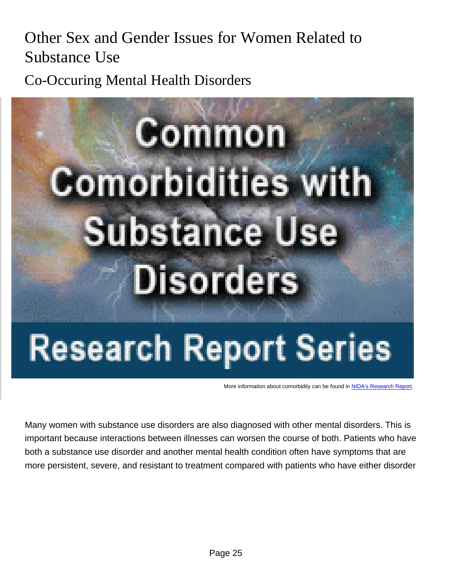## Other Sex and Gender Issues for Women Related to Substance Use

Co-Occuring Mental Health Disorders

More information about comorbidity can be found in [NIDA's Research Report](http://nida.nih.gov/publications/research-reports/common-comorbidities-substance-use-disorders).

Many women with substance use disorders are also diagnosed with other mental disorders. This is important because interactions between illnesses can worsen the course of both. Patients who have both a substance use disorder and another mental health condition often have symptoms that are more persistent, severe, and resistant to treatment compared with patients who have either disorder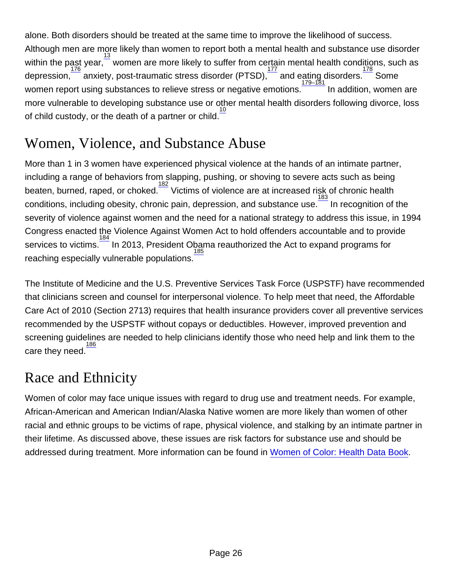alone. Both disorders should be treated at the same time to improve the likelihood of success. Although men are more likely than women to report both a mental health and substance use disorder within the past year,  $\frac{13}{176}$  $\frac{13}{176}$  $\frac{13}{176}$  $\frac{13}{176}$  $\frac{13}{176}$  women are more likely to suffer from certain mental health conditions, such as depression, anxiety, post-traumatic stress disorder (PTSD),  $\frac{177}{17}$  $\frac{177}{17}$  $\frac{177}{17}$  and eating disorders. Some women report using substances to relieve stress or negative emotions.<sup>[179–181](http://nida.nih.gov/node/22237)</sup> In addition, women are more vulnerable to developing substance use or other mental health disorders following divorce, loss of child custody, or the death of a partner or child.<sup>[10](http://nida.nih.gov/node/22237)</sup>

## Women, Violence, and Substance Abuse

More than 1 in 3 women have experienced physical violence at the hands of an intimate partner, including a range of behaviors from slapping, pushing, or shoving to severe acts such as being beaten, burned, raped, or choked.<sup>[182](http://nida.nih.gov/node/22237)</sup> Victims of violence are at increased risk of chronic health conditions, including obesity, chronic pain, depression, and substance use. In recognition of the severity of violence against women and the need for a national strategy to address this issue, in 1994 Congress enacted the Violence Against Women Act to hold offenders accountable and to provide services to victims.<sup>[184](http://nida.nih.gov/node/22237)</sup> In 2013, President Obama reauthorized the Act to expand programs for reaching especially vulnerable populations.

The Institute of Medicine and the U.S. Preventive Services Task Force (USPSTF) have recommended that clinicians screen and counsel for interpersonal violence. To help meet that need, the Affordable Care Act of 2010 (Section 2713) requires that health insurance providers cover all preventive services recommended by the USPSTF without copays or deductibles. However, improved prevention and screening guidelines are needed to help clinicians identify those who need help and link them to the care they need.

## Race and Ethnicity

Women of color may face unique issues with regard to drug use and treatment needs. For example, African-American and American Indian/Alaska Native women are more likely than women of other racial and ethnic groups to be victims of rape, physical violence, and stalking by an intimate partner in their lifetime. As discussed above, these issues are risk factors for substance use and should be addressed during treatment. More information can be found in [Women of Color: Health Data Book](https://orwh.od.nih.gov/sites/orwh/files/docs/WoC-Databook-FINAL.pdf).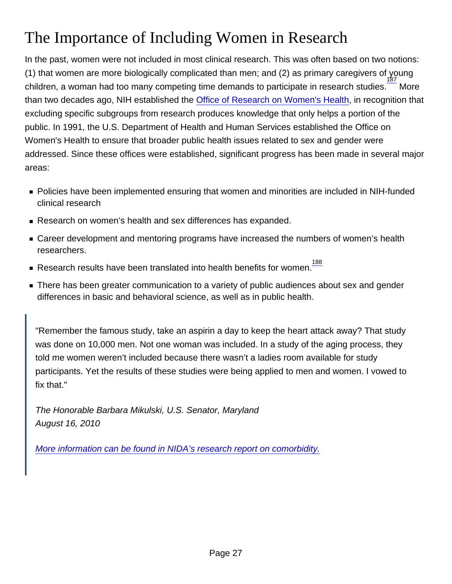# The Importance of Including Women in Research

In the past, women were not included in most clinical research. This was often based on two notions: (1) that women are more biologically complicated than men; and (2) as primary caregivers of young children, a woman had too many competing time demands to participate in research studies.<sup>[187](http://nida.nih.gov/node/22237)</sup> More than two decades ago, NIH established the [Office of Research on Women's Health,](https://orwh.od.nih.gov/) in recognition that excluding specific subgroups from research produces knowledge that only helps a portion of the public. In 1991, the U.S. Department of Health and Human Services established the Office on Women's Health to ensure that broader public health issues related to sex and gender were addressed. Since these offices were established, significant progress has been made in several major areas:

- Policies have been implemented ensuring that women and minorities are included in NIH-funded clinical research
- Research on women's health and sex differences has expanded.
- Career development and mentoring programs have increased the numbers of women's health researchers.
- Research results have been translated into health benefits for women.<sup>[188](http://nida.nih.gov/node/22237)</sup>
- **There has been greater communication to a variety of public audiences about sex and gender** differences in basic and behavioral science, as well as in public health.

"Remember the famous study, take an aspirin a day to keep the heart attack away? That study was done on 10,000 men. Not one woman was included. In a study of the aging process, they told me women weren't included because there wasn't a ladies room available for study participants. Yet the results of these studies were being applied to men and women. I vowed to fix that."

The Honorable Barbara Mikulski, U.S. Senator, Maryland August 16, 2010

[More information can be found in NIDA's research report on comorbidity.](https://orwh.od.nih.gov/sites/orwh/files/docs/ORWH_StrategicPlan2020_Vol1.pdf)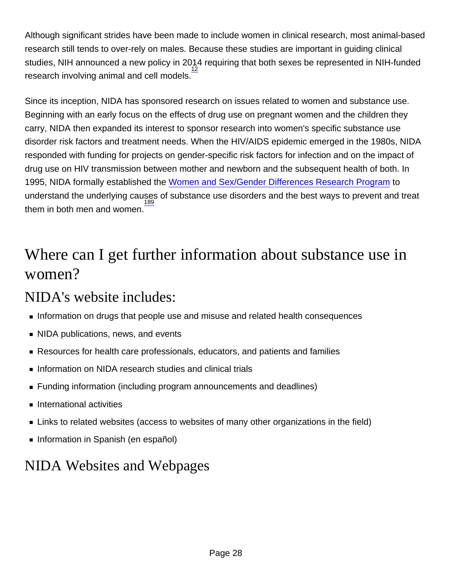Although significant strides have been made to include women in clinical research, most animal-based research still tends to over-rely on males. Because these studies are important in guiding clinical studies, NIH announced a new policy in 2014 requiring that both sexes be represented in NIH-funded research involving animal and cell models. [12](http://nida.nih.gov/node/22237)

Since its inception, NIDA has sponsored research on issues related to women and substance use. Beginning with an early focus on the effects of drug use on pregnant women and the children they carry, NIDA then expanded its interest to sponsor research into women's specific substance use disorder risk factors and treatment needs. When the HIV/AIDS epidemic emerged in the 1980s, NIDA responded with funding for projects on gender-specific risk factors for infection and on the impact of drug use on HIV transmission between mother and newborn and the subsequent health of both. In 1995, NIDA formally established the [Women and Sex/Gender Differences Research Program](http://nida.nih.gov/node/3364) to understand the underlying causes of substance use disorders and the best ways to prevent and treat them in both men and women. [189](http://nida.nih.gov/node/22237)

## Where can I get further information about substance use in women?

### NIDA's website includes:

- **Information on drugs that people use and misuse and related health consequences**
- NIDA publications, news, and events
- Resources for health care professionals, educators, and patients and families
- Information on NIDA research studies and clinical trials
- Funding information (including program announcements and deadlines)
- **International activities**
- **EXA** Links to related websites (access to websites of many other organizations in the field)
- Information in Spanish (en español)

## NIDA Websites and Webpages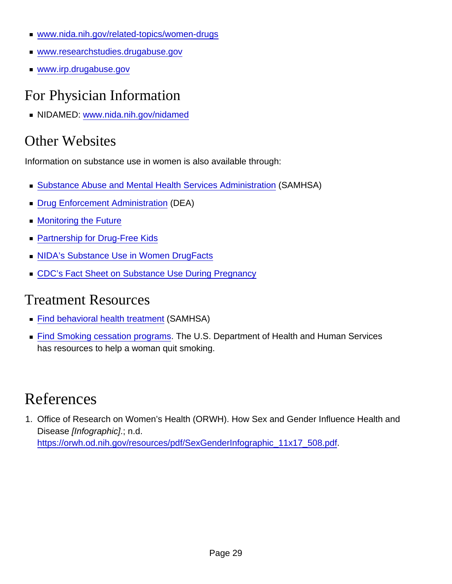- [www.nida.nih.gov/related-topics/women-drugs](http://nida.nih.gov/related-topics/women-drugs)
- [www.researchstudies.drugabuse.gov](http://www.researchstudies.drugabuse.gov)
- [www.irp.drugabuse.gov](http://www.irp.drugabuse.gov)

## For Physician Information

NIDAMED: [www.nida.nih.gov/nidamed](http://nida.nih.gov/node/776)

## Other Websites

Information on substance use in women is also available through:

- [Substance Abuse and Mental Health Services Administration](https://www.samhsa.gov) (SAMHSA)
- [Drug Enforcement Administration](https://www.dea.gov) (DEA)
- **[Monitoring the Future](http://www.monitoringthefuture.org)**
- **[Partnership for Drug-Free Kids](http://www.drugfree.org)**
- **[NIDA's Substance Use in Women DrugFacts](http://nida.nih.gov/publications/drugfacts/substance-use-in-women)**
- **[CDC's Fact Sheet on Substance Use During Pregnancy](https://www.cdc.gov/reproductivehealth/maternalinfanthealth/substance-abuse/substance-abuse-during-pregnancy.htm?CDC_AA_refVal=https://www.cdc.gov/reproductivehealth/maternalinfanthealth/tobaccousepregnancy/index.htm)**

### Treatment Resources

- [Find behavioral health treatment](https://findtreatment.samhsa.gov) (SAMHSA)
- **[Find Smoking cessation programs.](http://women.smokefree.gov/) The U.S. Department of Health and Human Services** has resources to help a woman quit smoking.

# References

1. Office of Research on Women's Health (ORWH). How Sex and Gender Influence Health and Disease [Infographic].; n.d. [https://orwh.od.nih.gov/resources/pdf/SexGenderInfographic\\_11x17\\_508.pdf.](https://orwh.od.nih.gov/resources/pdf/SexGenderInfographic_11x17_508.pdf)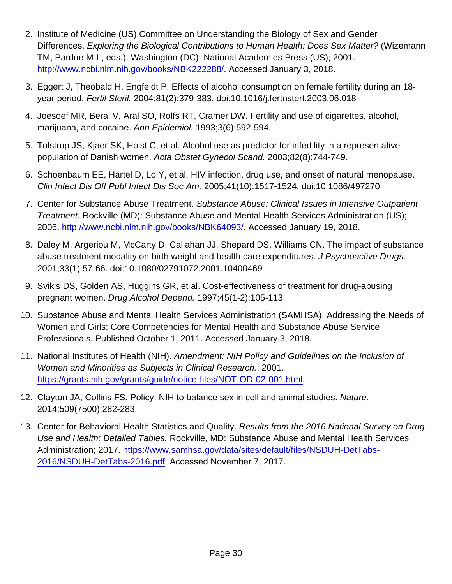- 2. Institute of Medicine (US) Committee on Understanding the Biology of Sex and Gender Differences. Exploring the Biological Contributions to Human Health: Does Sex Matter? (Wizemann TM, Pardue M-L, eds.). Washington (DC): National Academies Press (US); 2001. <http://www.ncbi.nlm.nih.gov/books/NBK222288/>. Accessed January 3, 2018.
- 3. Eggert J, Theobald H, Engfeldt P. Effects of alcohol consumption on female fertility during an 18 year period. Fertil Steril. 2004;81(2):379-383. doi:10.1016/j.fertnstert.2003.06.018
- 4. Joesoef MR, Beral V, Aral SO, Rolfs RT, Cramer DW. Fertility and use of cigarettes, alcohol, marijuana, and cocaine. Ann Epidemiol. 1993;3(6):592-594.
- 5. Tolstrup JS, Kjaer SK, Holst C, et al. Alcohol use as predictor for infertility in a representative population of Danish women. Acta Obstet Gynecol Scand. 2003;82(8):744-749.
- 6. Schoenbaum EE, Hartel D, Lo Y, et al. HIV infection, drug use, and onset of natural menopause. Clin Infect Dis Off Publ Infect Dis Soc Am. 2005;41(10):1517-1524. doi:10.1086/497270
- 7. Center for Substance Abuse Treatment. Substance Abuse: Clinical Issues in Intensive Outpatient Treatment. Rockville (MD): Substance Abuse and Mental Health Services Administration (US); 2006. <http://www.ncbi.nlm.nih.gov/books/NBK64093/>. Accessed January 19, 2018.
- 8. Daley M, Argeriou M, McCarty D, Callahan JJ, Shepard DS, Williams CN. The impact of substance abuse treatment modality on birth weight and health care expenditures. J Psychoactive Drugs. 2001;33(1):57-66. doi:10.1080/02791072.2001.10400469
- 9. Svikis DS, Golden AS, Huggins GR, et al. Cost-effectiveness of treatment for drug-abusing pregnant women. Drug Alcohol Depend. 1997;45(1-2):105-113.
- 10. Substance Abuse and Mental Health Services Administration (SAMHSA). Addressing the Needs of Women and Girls: Core Competencies for Mental Health and Substance Abuse Service Professionals. Published October 1, 2011. Accessed January 3, 2018.
- 11. National Institutes of Health (NIH). Amendment: NIH Policy and Guidelines on the Inclusion of Women and Minorities as Subjects in Clinical Research.; 2001. <https://grants.nih.gov/grants/guide/notice-files/NOT-OD-02-001.html>.
- 12. Clayton JA, Collins FS. Policy: NIH to balance sex in cell and animal studies. Nature. 2014;509(7500):282-283.
- 13. Center for Behavioral Health Statistics and Quality. Results from the 2016 National Survey on Drug Use and Health: Detailed Tables. Rockville, MD: Substance Abuse and Mental Health Services Administration; 2017. [https://www.samhsa.gov/data/sites/default/files/NSDUH-DetTabs-](https://www.samhsa.gov/data/sites/default/files/NSDUH-DetTabs-2016/NSDUH-DetTabs-2016.pdf)[2016/NSDUH-DetTabs-2016.pdf](https://www.samhsa.gov/data/sites/default/files/NSDUH-DetTabs-2016/NSDUH-DetTabs-2016.pdf). Accessed November 7, 2017.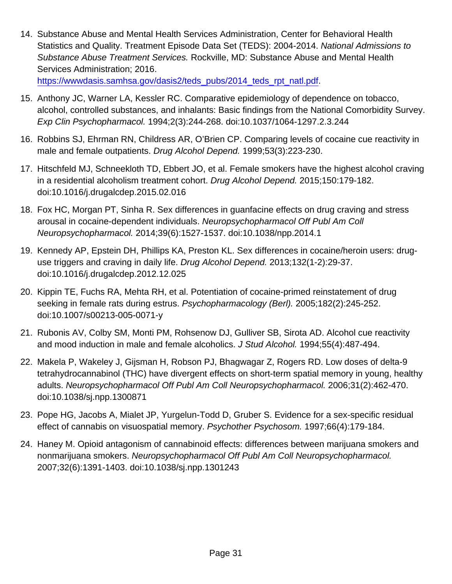14. Substance Abuse and Mental Health Services Administration, Center for Behavioral Health Statistics and Quality. Treatment Episode Data Set (TEDS): 2004-2014. National Admissions to Substance Abuse Treatment Services. Rockville, MD: Substance Abuse and Mental Health Services Administration; 2016.

[https://wwwdasis.samhsa.gov/dasis2/teds\\_pubs/2014\\_teds\\_rpt\\_natl.pdf](https://wwwdasis.samhsa.gov/dasis2/teds_pubs/2014_teds_rpt_natl.pdf).

- 15. Anthony JC, Warner LA, Kessler RC. Comparative epidemiology of dependence on tobacco, alcohol, controlled substances, and inhalants: Basic findings from the National Comorbidity Survey. Exp Clin Psychopharmacol. 1994;2(3):244-268. doi:10.1037/1064-1297.2.3.244
- 16. Robbins SJ, Ehrman RN, Childress AR, O'Brien CP. Comparing levels of cocaine cue reactivity in male and female outpatients. Drug Alcohol Depend. 1999;53(3):223-230.
- 17. Hitschfeld MJ, Schneekloth TD, Ebbert JO, et al. Female smokers have the highest alcohol craving in a residential alcoholism treatment cohort. Drug Alcohol Depend. 2015;150:179-182. doi:10.1016/j.drugalcdep.2015.02.016
- 18. Fox HC, Morgan PT, Sinha R. Sex differences in guanfacine effects on drug craving and stress arousal in cocaine-dependent individuals. Neuropsychopharmacol Off Publ Am Coll Neuropsychopharmacol. 2014;39(6):1527-1537. doi:10.1038/npp.2014.1
- 19. Kennedy AP, Epstein DH, Phillips KA, Preston KL. Sex differences in cocaine/heroin users: druguse triggers and craving in daily life. Drug Alcohol Depend. 2013;132(1-2):29-37. doi:10.1016/j.drugalcdep.2012.12.025
- 20. Kippin TE, Fuchs RA, Mehta RH, et al. Potentiation of cocaine-primed reinstatement of drug seeking in female rats during estrus. Psychopharmacology (Berl). 2005;182(2):245-252. doi:10.1007/s00213-005-0071-y
- 21. Rubonis AV, Colby SM, Monti PM, Rohsenow DJ, Gulliver SB, Sirota AD. Alcohol cue reactivity and mood induction in male and female alcoholics. J Stud Alcohol. 1994;55(4):487-494.
- 22. Makela P, Wakeley J, Gijsman H, Robson PJ, Bhagwagar Z, Rogers RD. Low doses of delta-9 tetrahydrocannabinol (THC) have divergent effects on short-term spatial memory in young, healthy adults. Neuropsychopharmacol Off Publ Am Coll Neuropsychopharmacol. 2006;31(2):462-470. doi:10.1038/sj.npp.1300871
- 23. Pope HG, Jacobs A, Mialet JP, Yurgelun-Todd D, Gruber S. Evidence for a sex-specific residual effect of cannabis on visuospatial memory. Psychother Psychosom. 1997;66(4):179-184.
- 24. Haney M. Opioid antagonism of cannabinoid effects: differences between marijuana smokers and nonmarijuana smokers. Neuropsychopharmacol Off Publ Am Coll Neuropsychopharmacol. 2007;32(6):1391-1403. doi:10.1038/sj.npp.1301243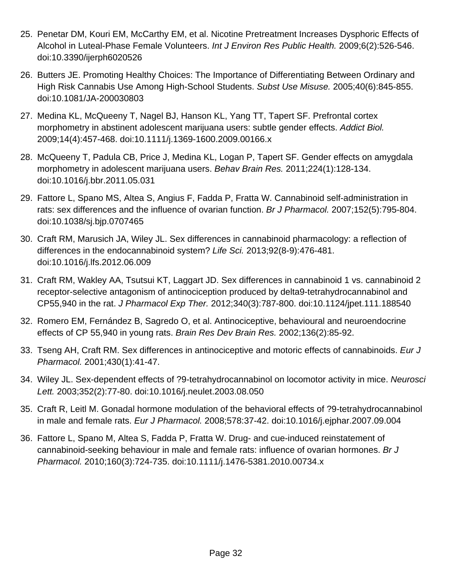- 25. Penetar DM, Kouri EM, McCarthy EM, et al. Nicotine Pretreatment Increases Dysphoric Effects of Alcohol in Luteal-Phase Female Volunteers. Int J Environ Res Public Health. 2009;6(2):526-546. doi:10.3390/ijerph6020526
- 26. Butters JE. Promoting Healthy Choices: The Importance of Differentiating Between Ordinary and High Risk Cannabis Use Among High-School Students. Subst Use Misuse. 2005;40(6):845-855. doi:10.1081/JA-200030803
- 27. Medina KL, McQueeny T, Nagel BJ, Hanson KL, Yang TT, Tapert SF. Prefrontal cortex morphometry in abstinent adolescent marijuana users: subtle gender effects. Addict Biol. 2009;14(4):457-468. doi:10.1111/j.1369-1600.2009.00166.x
- 28. McQueeny T, Padula CB, Price J, Medina KL, Logan P, Tapert SF. Gender effects on amygdala morphometry in adolescent marijuana users. Behav Brain Res. 2011;224(1):128-134. doi:10.1016/j.bbr.2011.05.031
- 29. Fattore L, Spano MS, Altea S, Angius F, Fadda P, Fratta W. Cannabinoid self-administration in rats: sex differences and the influence of ovarian function. Br J Pharmacol. 2007;152(5):795-804. doi:10.1038/sj.bjp.0707465
- 30. Craft RM, Marusich JA, Wiley JL. Sex differences in cannabinoid pharmacology: a reflection of differences in the endocannabinoid system? Life Sci. 2013;92(8-9):476-481. doi:10.1016/j.lfs.2012.06.009
- 31. Craft RM, Wakley AA, Tsutsui KT, Laggart JD. Sex differences in cannabinoid 1 vs. cannabinoid 2 receptor-selective antagonism of antinociception produced by delta9-tetrahydrocannabinol and CP55,940 in the rat. J Pharmacol Exp Ther. 2012;340(3):787-800. doi:10.1124/jpet.111.188540
- 32. Romero EM, Fernández B, Sagredo O, et al. Antinociceptive, behavioural and neuroendocrine effects of CP 55,940 in young rats. Brain Res Dev Brain Res. 2002;136(2):85-92.
- 33. Tseng AH, Craft RM. Sex differences in antinociceptive and motoric effects of cannabinoids. Eur J Pharmacol. 2001;430(1):41-47.
- 34. Wiley JL. Sex-dependent effects of ?9-tetrahydrocannabinol on locomotor activity in mice. Neurosci Lett. 2003;352(2):77-80. doi:10.1016/j.neulet.2003.08.050
- 35. Craft R, Leitl M. Gonadal hormone modulation of the behavioral effects of ?9-tetrahydrocannabinol in male and female rats. Eur J Pharmacol. 2008;578:37-42. doi:10.1016/j.ejphar.2007.09.004
- 36. Fattore L, Spano M, Altea S, Fadda P, Fratta W. Drug- and cue-induced reinstatement of cannabinoid-seeking behaviour in male and female rats: influence of ovarian hormones. Br J Pharmacol. 2010;160(3):724-735. doi:10.1111/j.1476-5381.2010.00734.x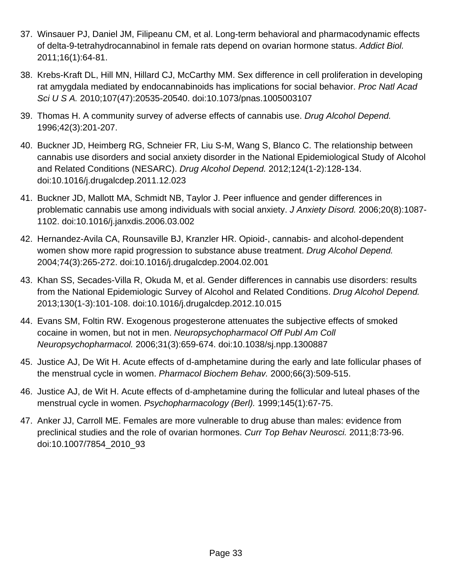- 37. Winsauer PJ, Daniel JM, Filipeanu CM, et al. Long-term behavioral and pharmacodynamic effects of delta-9-tetrahydrocannabinol in female rats depend on ovarian hormone status. Addict Biol. 2011;16(1):64-81.
- 38. Krebs-Kraft DL, Hill MN, Hillard CJ, McCarthy MM. Sex difference in cell proliferation in developing rat amygdala mediated by endocannabinoids has implications for social behavior. Proc Natl Acad Sci U S A. 2010;107(47):20535-20540. doi:10.1073/pnas.1005003107
- 39. Thomas H. A community survey of adverse effects of cannabis use. Drug Alcohol Depend. 1996;42(3):201-207.
- 40. Buckner JD, Heimberg RG, Schneier FR, Liu S-M, Wang S, Blanco C. The relationship between cannabis use disorders and social anxiety disorder in the National Epidemiological Study of Alcohol and Related Conditions (NESARC). Drug Alcohol Depend. 2012;124(1-2):128-134. doi:10.1016/j.drugalcdep.2011.12.023
- 41. Buckner JD, Mallott MA, Schmidt NB, Taylor J. Peer influence and gender differences in problematic cannabis use among individuals with social anxiety. J Anxiety Disord. 2006;20(8):1087- 1102. doi:10.1016/j.janxdis.2006.03.002
- 42. Hernandez-Avila CA, Rounsaville BJ, Kranzler HR. Opioid-, cannabis- and alcohol-dependent women show more rapid progression to substance abuse treatment. Drug Alcohol Depend. 2004;74(3):265-272. doi:10.1016/j.drugalcdep.2004.02.001
- 43. Khan SS, Secades-Villa R, Okuda M, et al. Gender differences in cannabis use disorders: results from the National Epidemiologic Survey of Alcohol and Related Conditions. Drug Alcohol Depend. 2013;130(1-3):101-108. doi:10.1016/j.drugalcdep.2012.10.015
- 44. Evans SM, Foltin RW. Exogenous progesterone attenuates the subjective effects of smoked cocaine in women, but not in men. Neuropsychopharmacol Off Publ Am Coll Neuropsychopharmacol. 2006;31(3):659-674. doi:10.1038/sj.npp.1300887
- 45. Justice AJ, De Wit H. Acute effects of d-amphetamine during the early and late follicular phases of the menstrual cycle in women. Pharmacol Biochem Behav. 2000;66(3):509-515.
- 46. Justice AJ, de Wit H. Acute effects of d-amphetamine during the follicular and luteal phases of the menstrual cycle in women. Psychopharmacology (Berl). 1999;145(1):67-75.
- 47. Anker JJ, Carroll ME. Females are more vulnerable to drug abuse than males: evidence from preclinical studies and the role of ovarian hormones. Curr Top Behav Neurosci. 2011;8:73-96. doi:10.1007/7854\_2010\_93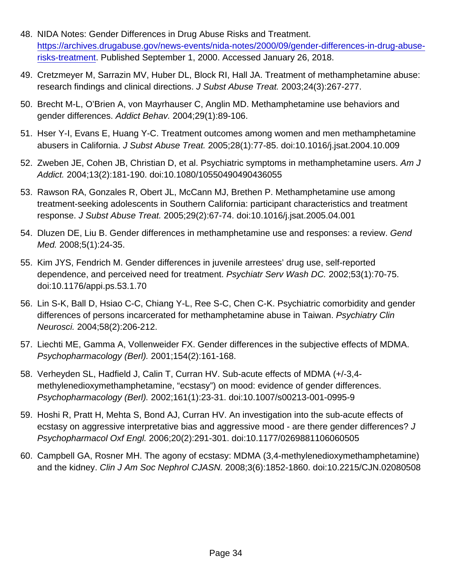- 48. NIDA Notes: Gender Differences in Drug Abuse Risks and Treatment. [https://archives.drugabuse.gov/news-events/nida-notes/2000/09/gender-differences-in-drug-abuse](https://archives.drugabuse.gov/news-events/nida-notes/2000/09/gender-differences-in-drug-abuse-risks-treatment)[risks-treatment.](https://archives.drugabuse.gov/news-events/nida-notes/2000/09/gender-differences-in-drug-abuse-risks-treatment) Published September 1, 2000. Accessed January 26, 2018.
- 49. Cretzmeyer M, Sarrazin MV, Huber DL, Block RI, Hall JA. Treatment of methamphetamine abuse: research findings and clinical directions. J Subst Abuse Treat. 2003;24(3):267-277.
- 50. Brecht M-L, O'Brien A, von Mayrhauser C, Anglin MD. Methamphetamine use behaviors and gender differences. Addict Behav. 2004;29(1):89-106.
- 51. Hser Y-I, Evans E, Huang Y-C. Treatment outcomes among women and men methamphetamine abusers in California. J Subst Abuse Treat. 2005;28(1):77-85. doi:10.1016/j.jsat.2004.10.009
- 52. Zweben JE, Cohen JB, Christian D, et al. Psychiatric symptoms in methamphetamine users. Am J Addict. 2004;13(2):181-190. doi:10.1080/10550490490436055
- 53. Rawson RA, Gonzales R, Obert JL, McCann MJ, Brethen P. Methamphetamine use among treatment-seeking adolescents in Southern California: participant characteristics and treatment response. J Subst Abuse Treat. 2005;29(2):67-74. doi:10.1016/j.jsat.2005.04.001
- 54. Dluzen DE, Liu B. Gender differences in methamphetamine use and responses: a review. Gend Med. 2008;5(1):24-35.
- 55. Kim JYS, Fendrich M. Gender differences in juvenile arrestees' drug use, self-reported dependence, and perceived need for treatment. Psychiatr Serv Wash DC. 2002;53(1):70-75. doi:10.1176/appi.ps.53.1.70
- 56. Lin S-K, Ball D, Hsiao C-C, Chiang Y-L, Ree S-C, Chen C-K. Psychiatric comorbidity and gender differences of persons incarcerated for methamphetamine abuse in Taiwan. Psychiatry Clin Neurosci. 2004;58(2):206-212.
- 57. Liechti ME, Gamma A, Vollenweider FX. Gender differences in the subjective effects of MDMA. Psychopharmacology (Berl). 2001;154(2):161-168.
- 58. Verheyden SL, Hadfield J, Calin T, Curran HV. Sub-acute effects of MDMA (+/-3,4 methylenedioxymethamphetamine, "ecstasy") on mood: evidence of gender differences. Psychopharmacology (Berl). 2002;161(1):23-31. doi:10.1007/s00213-001-0995-9
- 59. Hoshi R, Pratt H, Mehta S, Bond AJ, Curran HV. An investigation into the sub-acute effects of ecstasy on aggressive interpretative bias and aggressive mood - are there gender differences? J Psychopharmacol Oxf Engl. 2006;20(2):291-301. doi:10.1177/0269881106060505
- 60. Campbell GA, Rosner MH. The agony of ecstasy: MDMA (3,4-methylenedioxymethamphetamine) and the kidney. Clin J Am Soc Nephrol CJASN. 2008;3(6):1852-1860. doi:10.2215/CJN.02080508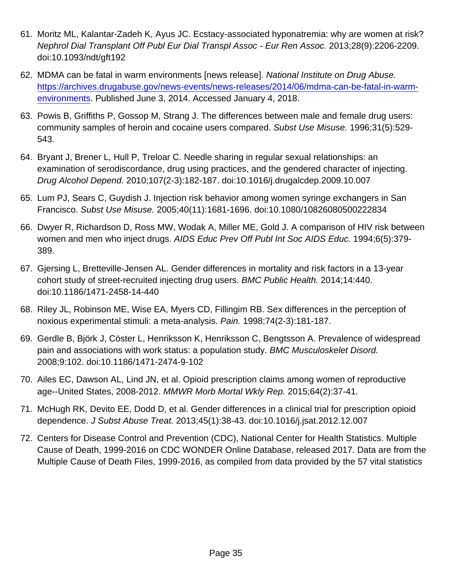- 61. Moritz ML, Kalantar-Zadeh K, Ayus JC. Ecstacy-associated hyponatremia: why are women at risk? Nephrol Dial Transplant Off Publ Eur Dial Transpl Assoc - Eur Ren Assoc. 2013;28(9):2206-2209. doi:10.1093/ndt/gft192
- 62. MDMA can be fatal in warm environments [news release]. National Institute on Drug Abuse. [https://archives.drugabuse.gov/news-events/news-releases/2014/06/mdma-can-be-fatal-in-warm](https://archives.drugabuse.gov/news-events/news-releases/2014/06/mdma-can-be-fatal-in-warm-environments)[environments.](https://archives.drugabuse.gov/news-events/news-releases/2014/06/mdma-can-be-fatal-in-warm-environments) Published June 3, 2014. Accessed January 4, 2018.
- 63. Powis B, Griffiths P, Gossop M, Strang J. The differences between male and female drug users: community samples of heroin and cocaine users compared. Subst Use Misuse. 1996;31(5):529- 543.
- 64. Bryant J, Brener L, Hull P, Treloar C. Needle sharing in regular sexual relationships: an examination of serodiscordance, drug using practices, and the gendered character of injecting. Drug Alcohol Depend. 2010;107(2-3):182-187. doi:10.1016/j.drugalcdep.2009.10.007
- 65. Lum PJ, Sears C, Guydish J. Injection risk behavior among women syringe exchangers in San Francisco. Subst Use Misuse. 2005;40(11):1681-1696. doi:10.1080/10826080500222834
- 66. Dwyer R, Richardson D, Ross MW, Wodak A, Miller ME, Gold J. A comparison of HIV risk between women and men who inject drugs. AIDS Educ Prev Off Publ Int Soc AIDS Educ. 1994;6(5):379- 389.
- 67. Gjersing L, Bretteville-Jensen AL. Gender differences in mortality and risk factors in a 13-year cohort study of street-recruited injecting drug users. BMC Public Health. 2014;14:440. doi:10.1186/1471-2458-14-440
- 68. Riley JL, Robinson ME, Wise EA, Myers CD, Fillingim RB. Sex differences in the perception of noxious experimental stimuli: a meta-analysis. Pain. 1998;74(2-3):181-187.
- 69. Gerdle B, Björk J, Cöster L, Henriksson K, Henriksson C, Bengtsson A. Prevalence of widespread pain and associations with work status: a population study. BMC Musculoskelet Disord. 2008;9:102. doi:10.1186/1471-2474-9-102
- 70. Ailes EC, Dawson AL, Lind JN, et al. Opioid prescription claims among women of reproductive age--United States, 2008-2012. MMWR Morb Mortal Wkly Rep. 2015;64(2):37-41.
- 71. McHugh RK, Devito EE, Dodd D, et al. Gender differences in a clinical trial for prescription opioid dependence. J Subst Abuse Treat. 2013;45(1):38-43. doi:10.1016/j.jsat.2012.12.007
- 72. Centers for Disease Control and Prevention (CDC), National Center for Health Statistics. Multiple Cause of Death, 1999-2016 on CDC WONDER Online Database, released 2017. Data are from the Multiple Cause of Death Files, 1999-2016, as compiled from data provided by the 57 vital statistics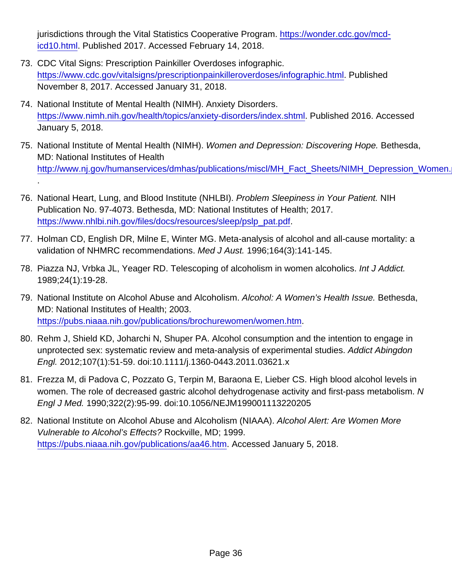jurisdictions through the Vital Statistics Cooperative Program. [https://wonder.cdc.gov/mcd](https://wonder.cdc.gov/mcd-icd10.html)[icd10.html](https://wonder.cdc.gov/mcd-icd10.html). Published 2017. Accessed February 14, 2018.

- 73. CDC Vital Signs: Prescription Painkiller Overdoses infographic. <https://www.cdc.gov/vitalsigns/prescriptionpainkilleroverdoses/infographic.html>. Published November 8, 2017. Accessed January 31, 2018.
- 74. National Institute of Mental Health (NIMH). Anxiety Disorders. <https://www.nimh.nih.gov/health/topics/anxiety-disorders/index.shtml>. Published 2016. Accessed January 5, 2018.
- 75. National Institute of Mental Health (NIMH). Women and Depression: Discovering Hope. Bethesda, MD: National Institutes of Health http://www.nj.gov/humanservices/dmhas/publications/miscl/MH\_Fact\_Sheets/NIMH\_Depression\_Women.
- 76. National Heart, Lung, and Blood Institute (NHLBI). Problem Sleepiness in Your Patient. NIH Publication No. 97-4073. Bethesda, MD: National Institutes of Health; 2017. [https://www.nhlbi.nih.gov/files/docs/resources/sleep/pslp\\_pat.pdf](https://www.nhlbi.nih.gov/files/docs/resources/sleep/pslp_pat.pdf).

.

- 77. Holman CD, English DR, Milne E, Winter MG. Meta-analysis of alcohol and all-cause mortality: a validation of NHMRC recommendations. Med J Aust. 1996;164(3):141-145.
- 78. Piazza NJ, Vrbka JL, Yeager RD. Telescoping of alcoholism in women alcoholics. Int J Addict. 1989;24(1):19-28.
- 79. National Institute on Alcohol Abuse and Alcoholism. Alcohol: A Women's Health Issue. Bethesda, MD: National Institutes of Health; 2003. [https://pubs.niaaa.nih.gov/publications/brochurewomen/women.htm.](https://pubs.niaaa.nih.gov/publications/brochurewomen/women.htm)
- 80. Rehm J, Shield KD, Joharchi N, Shuper PA. Alcohol consumption and the intention to engage in unprotected sex: systematic review and meta-analysis of experimental studies. Addict Abingdon Engl. 2012;107(1):51-59. doi:10.1111/j.1360-0443.2011.03621.x
- 81. Frezza M, di Padova C, Pozzato G, Terpin M, Baraona E, Lieber CS. High blood alcohol levels in women. The role of decreased gastric alcohol dehydrogenase activity and first-pass metabolism. N Engl J Med. 1990;322(2):95-99. doi:10.1056/NEJM199001113220205
- 82. National Institute on Alcohol Abuse and Alcoholism (NIAAA). Alcohol Alert: Are Women More Vulnerable to Alcohol's Effects? Rockville, MD; 1999. <https://pubs.niaaa.nih.gov/publications/aa46.htm>. Accessed January 5, 2018.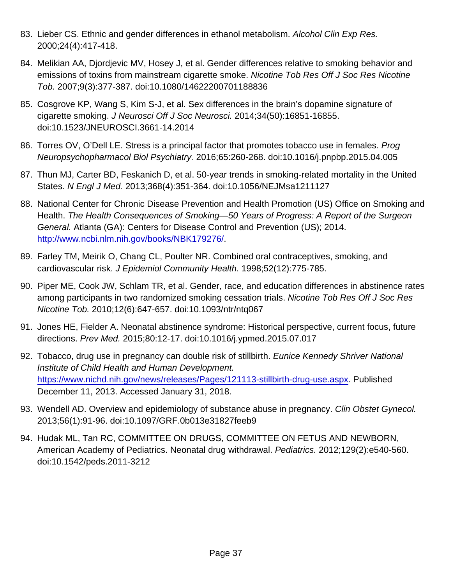- 83. Lieber CS. Ethnic and gender differences in ethanol metabolism. Alcohol Clin Exp Res. 2000;24(4):417-418.
- 84. Melikian AA, Djordjevic MV, Hosey J, et al. Gender differences relative to smoking behavior and emissions of toxins from mainstream cigarette smoke. Nicotine Tob Res Off J Soc Res Nicotine Tob. 2007;9(3):377-387. doi:10.1080/14622200701188836
- 85. Cosgrove KP, Wang S, Kim S-J, et al. Sex differences in the brain's dopamine signature of cigarette smoking. J Neurosci Off J Soc Neurosci. 2014;34(50):16851-16855. doi:10.1523/JNEUROSCI.3661-14.2014
- 86. Torres OV, O'Dell LE. Stress is a principal factor that promotes tobacco use in females. Prog Neuropsychopharmacol Biol Psychiatry. 2016;65:260-268. doi:10.1016/j.pnpbp.2015.04.005
- 87. Thun MJ, Carter BD, Feskanich D, et al. 50-year trends in smoking-related mortality in the United States. N Engl J Med. 2013;368(4):351-364. doi:10.1056/NEJMsa1211127
- 88. National Center for Chronic Disease Prevention and Health Promotion (US) Office on Smoking and Health. The Health Consequences of Smoking—50 Years of Progress: A Report of the Surgeon General. Atlanta (GA): Centers for Disease Control and Prevention (US); 2014. <http://www.ncbi.nlm.nih.gov/books/NBK179276/>.
- 89. Farley TM, Meirik O, Chang CL, Poulter NR. Combined oral contraceptives, smoking, and cardiovascular risk. J Epidemiol Community Health. 1998;52(12):775-785.
- 90. Piper ME, Cook JW, Schlam TR, et al. Gender, race, and education differences in abstinence rates among participants in two randomized smoking cessation trials. Nicotine Tob Res Off J Soc Res Nicotine Tob. 2010;12(6):647-657. doi:10.1093/ntr/ntq067
- 91. Jones HE, Fielder A. Neonatal abstinence syndrome: Historical perspective, current focus, future directions. Prev Med. 2015;80:12-17. doi:10.1016/j.ypmed.2015.07.017
- 92. Tobacco, drug use in pregnancy can double risk of stillbirth. Eunice Kennedy Shriver National Institute of Child Health and Human Development. <https://www.nichd.nih.gov/news/releases/Pages/121113-stillbirth-drug-use.aspx>. Published December 11, 2013. Accessed January 31, 2018.
- 93. Wendell AD. Overview and epidemiology of substance abuse in pregnancy. Clin Obstet Gynecol. 2013;56(1):91-96. doi:10.1097/GRF.0b013e31827feeb9
- 94. Hudak ML, Tan RC, COMMITTEE ON DRUGS, COMMITTEE ON FETUS AND NEWBORN, American Academy of Pediatrics. Neonatal drug withdrawal. Pediatrics. 2012;129(2):e540-560. doi:10.1542/peds.2011-3212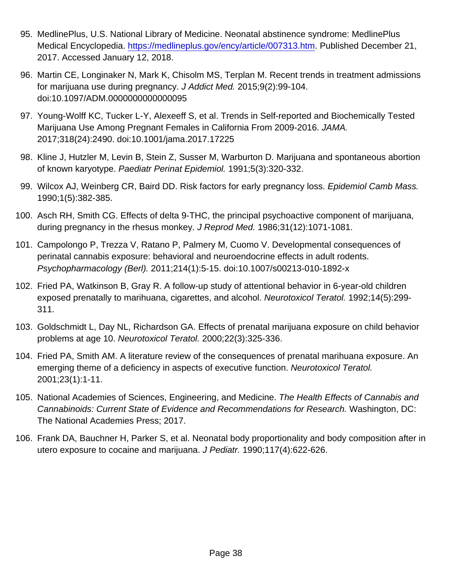- 95. MedlinePlus, U.S. National Library of Medicine. Neonatal abstinence syndrome: MedlinePlus Medical Encyclopedia. [https://medlineplus.gov/ency/article/007313.htm.](https://medlineplus.gov/ency/article/007313.htm) Published December 21, 2017. Accessed January 12, 2018.
- 96. Martin CE, Longinaker N, Mark K, Chisolm MS, Terplan M. Recent trends in treatment admissions for marijuana use during pregnancy. J Addict Med. 2015;9(2):99-104. doi:10.1097/ADM.0000000000000095
- 97. Young-Wolff KC, Tucker L-Y, Alexeeff S, et al. Trends in Self-reported and Biochemically Tested Marijuana Use Among Pregnant Females in California From 2009-2016. JAMA. 2017;318(24):2490. doi:10.1001/jama.2017.17225
- 98. Kline J, Hutzler M, Levin B, Stein Z, Susser M, Warburton D. Marijuana and spontaneous abortion of known karyotype. Paediatr Perinat Epidemiol. 1991;5(3):320-332.
- 99. Wilcox AJ, Weinberg CR, Baird DD. Risk factors for early pregnancy loss. Epidemiol Camb Mass. 1990;1(5):382-385.
- 100. Asch RH, Smith CG. Effects of delta 9-THC, the principal psychoactive component of marijuana, during pregnancy in the rhesus monkey. J Reprod Med. 1986;31(12):1071-1081.
- 101. Campolongo P, Trezza V, Ratano P, Palmery M, Cuomo V. Developmental consequences of perinatal cannabis exposure: behavioral and neuroendocrine effects in adult rodents. Psychopharmacology (Berl). 2011;214(1):5-15. doi:10.1007/s00213-010-1892-x
- 102. Fried PA, Watkinson B, Gray R. A follow-up study of attentional behavior in 6-year-old children exposed prenatally to marihuana, cigarettes, and alcohol. Neurotoxicol Teratol. 1992;14(5):299- 311.
- 103. Goldschmidt L, Day NL, Richardson GA. Effects of prenatal marijuana exposure on child behavior problems at age 10. Neurotoxicol Teratol. 2000;22(3):325-336.
- 104. Fried PA, Smith AM. A literature review of the consequences of prenatal marihuana exposure. An emerging theme of a deficiency in aspects of executive function. Neurotoxicol Teratol. 2001;23(1):1-11.
- 105. National Academies of Sciences, Engineering, and Medicine. The Health Effects of Cannabis and Cannabinoids: Current State of Evidence and Recommendations for Research. Washington, DC: The National Academies Press; 2017.
- 106. Frank DA, Bauchner H, Parker S, et al. Neonatal body proportionality and body composition after in utero exposure to cocaine and marijuana. J Pediatr. 1990;117(4):622-626.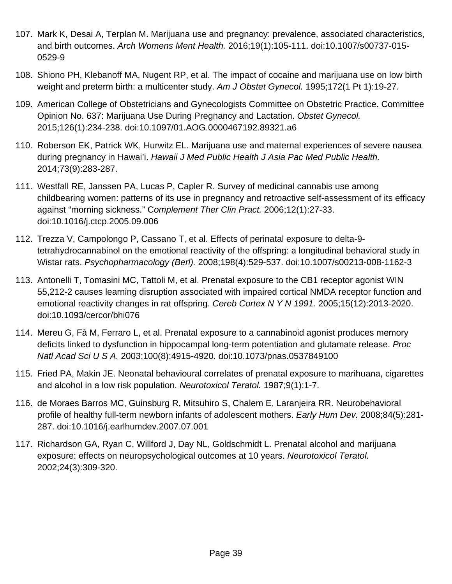- 107. Mark K, Desai A, Terplan M. Marijuana use and pregnancy: prevalence, associated characteristics, and birth outcomes. Arch Womens Ment Health. 2016;19(1):105-111. doi:10.1007/s00737-015- 0529-9
- 108. Shiono PH, Klebanoff MA, Nugent RP, et al. The impact of cocaine and marijuana use on low birth weight and preterm birth: a multicenter study. Am J Obstet Gynecol. 1995;172(1 Pt 1):19-27.
- 109. American College of Obstetricians and Gynecologists Committee on Obstetric Practice. Committee Opinion No. 637: Marijuana Use During Pregnancy and Lactation. Obstet Gynecol. 2015;126(1):234-238. doi:10.1097/01.AOG.0000467192.89321.a6
- 110. Roberson EK, Patrick WK, Hurwitz EL. Marijuana use and maternal experiences of severe nausea during pregnancy in Hawai'i. Hawaii J Med Public Health J Asia Pac Med Public Health. 2014;73(9):283-287.
- 111. Westfall RE, Janssen PA, Lucas P, Capler R. Survey of medicinal cannabis use among childbearing women: patterns of its use in pregnancy and retroactive self-assessment of its efficacy against "morning sickness." Complement Ther Clin Pract. 2006;12(1):27-33. doi:10.1016/j.ctcp.2005.09.006
- 112. Trezza V, Campolongo P, Cassano T, et al. Effects of perinatal exposure to delta-9 tetrahydrocannabinol on the emotional reactivity of the offspring: a longitudinal behavioral study in Wistar rats. Psychopharmacology (Berl). 2008;198(4):529-537. doi:10.1007/s00213-008-1162-3
- 113. Antonelli T, Tomasini MC, Tattoli M, et al. Prenatal exposure to the CB1 receptor agonist WIN 55,212-2 causes learning disruption associated with impaired cortical NMDA receptor function and emotional reactivity changes in rat offspring. Cereb Cortex N Y N 1991. 2005;15(12):2013-2020. doi:10.1093/cercor/bhi076
- 114. Mereu G, Fà M, Ferraro L, et al. Prenatal exposure to a cannabinoid agonist produces memory deficits linked to dysfunction in hippocampal long-term potentiation and glutamate release. Proc Natl Acad Sci U S A. 2003;100(8):4915-4920. doi:10.1073/pnas.0537849100
- 115. Fried PA, Makin JE. Neonatal behavioural correlates of prenatal exposure to marihuana, cigarettes and alcohol in a low risk population. Neurotoxicol Teratol. 1987;9(1):1-7.
- 116. de Moraes Barros MC, Guinsburg R, Mitsuhiro S, Chalem E, Laranjeira RR. Neurobehavioral profile of healthy full-term newborn infants of adolescent mothers. Early Hum Dev. 2008;84(5):281- 287. doi:10.1016/j.earlhumdev.2007.07.001
- 117. Richardson GA, Ryan C, Willford J, Day NL, Goldschmidt L. Prenatal alcohol and marijuana exposure: effects on neuropsychological outcomes at 10 years. Neurotoxicol Teratol. 2002;24(3):309-320.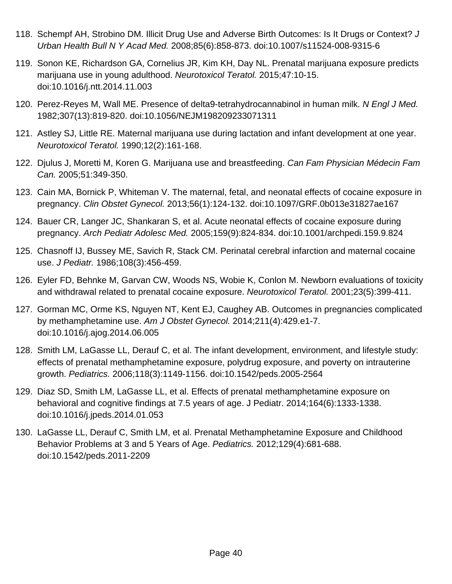- 118. Schempf AH, Strobino DM. Illicit Drug Use and Adverse Birth Outcomes: Is It Drugs or Context? J Urban Health Bull N Y Acad Med. 2008;85(6):858-873. doi:10.1007/s11524-008-9315-6
- 119. Sonon KE, Richardson GA, Cornelius JR, Kim KH, Day NL. Prenatal marijuana exposure predicts marijuana use in young adulthood. Neurotoxicol Teratol. 2015;47:10-15. doi:10.1016/j.ntt.2014.11.003
- 120. Perez-Reyes M, Wall ME. Presence of delta9-tetrahydrocannabinol in human milk. N Engl J Med. 1982;307(13):819-820. doi:10.1056/NEJM198209233071311
- 121. Astley SJ, Little RE. Maternal marijuana use during lactation and infant development at one year. Neurotoxicol Teratol. 1990;12(2):161-168.
- 122. Djulus J, Moretti M, Koren G. Marijuana use and breastfeeding. Can Fam Physician Médecin Fam Can. 2005;51:349-350.
- 123. Cain MA, Bornick P, Whiteman V. The maternal, fetal, and neonatal effects of cocaine exposure in pregnancy. Clin Obstet Gynecol. 2013;56(1):124-132. doi:10.1097/GRF.0b013e31827ae167
- 124. Bauer CR, Langer JC, Shankaran S, et al. Acute neonatal effects of cocaine exposure during pregnancy. Arch Pediatr Adolesc Med. 2005;159(9):824-834. doi:10.1001/archpedi.159.9.824
- 125. Chasnoff IJ, Bussey ME, Savich R, Stack CM. Perinatal cerebral infarction and maternal cocaine use. J Pediatr. 1986;108(3):456-459.
- 126. Eyler FD, Behnke M, Garvan CW, Woods NS, Wobie K, Conlon M. Newborn evaluations of toxicity and withdrawal related to prenatal cocaine exposure. Neurotoxicol Teratol. 2001;23(5):399-411.
- 127. Gorman MC, Orme KS, Nguyen NT, Kent EJ, Caughey AB. Outcomes in pregnancies complicated by methamphetamine use. Am J Obstet Gynecol. 2014;211(4):429.e1-7. doi:10.1016/j.ajog.2014.06.005
- 128. Smith LM, LaGasse LL, Derauf C, et al. The infant development, environment, and lifestyle study: effects of prenatal methamphetamine exposure, polydrug exposure, and poverty on intrauterine growth. Pediatrics. 2006;118(3):1149-1156. doi:10.1542/peds.2005-2564
- 129. Diaz SD, Smith LM, LaGasse LL, et al. Effects of prenatal methamphetamine exposure on behavioral and cognitive findings at 7.5 years of age. J Pediatr. 2014;164(6):1333-1338. doi:10.1016/j.jpeds.2014.01.053
- 130. LaGasse LL, Derauf C, Smith LM, et al. Prenatal Methamphetamine Exposure and Childhood Behavior Problems at 3 and 5 Years of Age. Pediatrics. 2012;129(4):681-688. doi:10.1542/peds.2011-2209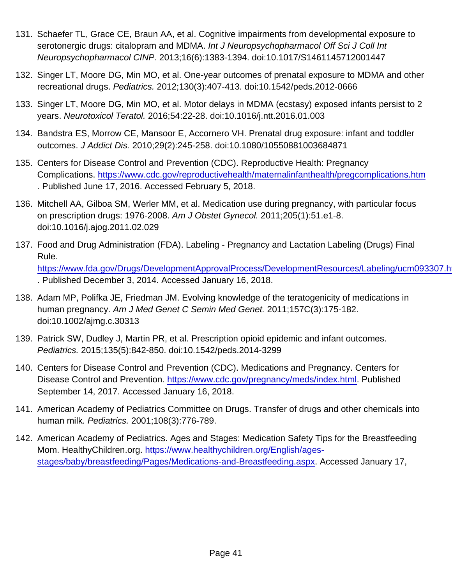- 131. Schaefer TL, Grace CE, Braun AA, et al. Cognitive impairments from developmental exposure to serotonergic drugs: citalopram and MDMA. Int J Neuropsychopharmacol Off Sci J Coll Int Neuropsychopharmacol CINP. 2013;16(6):1383-1394. doi:10.1017/S1461145712001447
- 132. Singer LT, Moore DG, Min MO, et al. One-year outcomes of prenatal exposure to MDMA and other recreational drugs. Pediatrics. 2012;130(3):407-413. doi:10.1542/peds.2012-0666
- 133. Singer LT, Moore DG, Min MO, et al. Motor delays in MDMA (ecstasy) exposed infants persist to 2 years. Neurotoxicol Teratol. 2016;54:22-28. doi:10.1016/j.ntt.2016.01.003
- 134. Bandstra ES, Morrow CE, Mansoor E, Accornero VH. Prenatal drug exposure: infant and toddler outcomes. J Addict Dis. 2010;29(2):245-258. doi:10.1080/10550881003684871
- 135. Centers for Disease Control and Prevention (CDC). Reproductive Health: Pregnancy Complications. <https://www.cdc.gov/reproductivehealth/maternalinfanthealth/pregcomplications.htm> . Published June 17, 2016. Accessed February 5, 2018.
- 136. Mitchell AA, Gilboa SM, Werler MM, et al. Medication use during pregnancy, with particular focus on prescription drugs: 1976-2008. Am J Obstet Gynecol. 2011;205(1):51.e1-8. doi:10.1016/j.ajog.2011.02.029
- 137. Food and Drug Administration (FDA). Labeling Pregnancy and Lactation Labeling (Drugs) Final Rule. https://www.fda.gov/Drugs/DevelopmentApprovalProcess/DevelopmentResources/Labeling/ucm093307.h . Published December 3, 2014. Accessed January 16, 2018.
- 138. Adam MP, Polifka JE, Friedman JM. Evolving knowledge of the teratogenicity of medications in human pregnancy. Am J Med Genet C Semin Med Genet. 2011;157C(3):175-182. doi:10.1002/ajmg.c.30313
- 139. Patrick SW, Dudley J, Martin PR, et al. Prescription opioid epidemic and infant outcomes. Pediatrics. 2015;135(5):842-850. doi:10.1542/peds.2014-3299
- 140. Centers for Disease Control and Prevention (CDC). Medications and Pregnancy. Centers for Disease Control and Prevention. <https://www.cdc.gov/pregnancy/meds/index.html>. Published September 14, 2017. Accessed January 16, 2018.
- 141. American Academy of Pediatrics Committee on Drugs. Transfer of drugs and other chemicals into human milk. Pediatrics. 2001;108(3):776-789.
- 142. American Academy of Pediatrics. Ages and Stages: Medication Safety Tips for the Breastfeeding Mom. HealthyChildren.org. [https://www.healthychildren.org/English/ages](https://www.healthychildren.org/English/ages-stages/baby/breastfeeding/Pages/Medications-and-Breastfeeding.aspx)[stages/baby/breastfeeding/Pages/Medications-and-Breastfeeding.aspx.](https://www.healthychildren.org/English/ages-stages/baby/breastfeeding/Pages/Medications-and-Breastfeeding.aspx) Accessed January 17,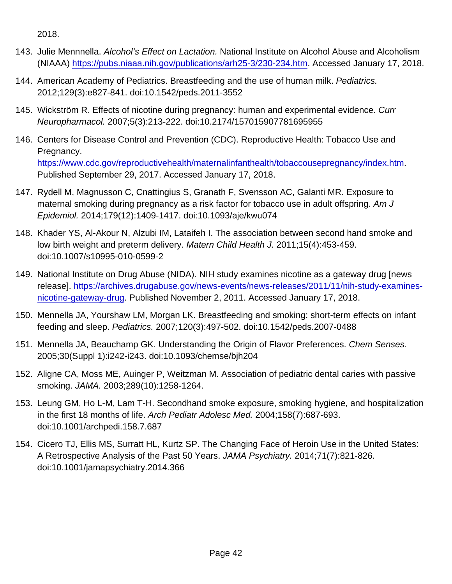2018.

- 143. Julie Mennnella. Alcohol's Effect on Lactation. National Institute on Alcohol Abuse and Alcoholism (NIAAA) [https://pubs.niaaa.nih.gov/publications/arh25-3/230-234.htm.](https://pubs.niaaa.nih.gov/publications/arh25-3/230-234.htm) Accessed January 17, 2018.
- 144. American Academy of Pediatrics. Breastfeeding and the use of human milk. Pediatrics. 2012;129(3):e827-841. doi:10.1542/peds.2011-3552
- 145. Wickström R. Effects of nicotine during pregnancy: human and experimental evidence. Curr Neuropharmacol. 2007;5(3):213-222. doi:10.2174/157015907781695955
- 146. Centers for Disease Control and Prevention (CDC). Reproductive Health: Tobacco Use and Pregnancy. <https://www.cdc.gov/reproductivehealth/maternalinfanthealth/tobaccousepregnancy/index.htm>. Published September 29, 2017. Accessed January 17, 2018.
- 147. Rydell M, Magnusson C, Cnattingius S, Granath F, Svensson AC, Galanti MR. Exposure to maternal smoking during pregnancy as a risk factor for tobacco use in adult offspring. Am J Epidemiol. 2014;179(12):1409-1417. doi:10.1093/aje/kwu074
- 148. Khader YS, Al-Akour N, Alzubi IM, Lataifeh I. The association between second hand smoke and low birth weight and preterm delivery. Matern Child Health J. 2011;15(4):453-459. doi:10.1007/s10995-010-0599-2
- 149. National Institute on Drug Abuse (NIDA). NIH study examines nicotine as a gateway drug [news release]. [https://archives.drugabuse.gov/news-events/news-releases/2011/11/nih-study-examines](https://archives.drugabuse.gov/news-events/news-releases/2011/11/nih-study-examines-nicotine-gateway-drug)[nicotine-gateway-drug.](https://archives.drugabuse.gov/news-events/news-releases/2011/11/nih-study-examines-nicotine-gateway-drug) Published November 2, 2011. Accessed January 17, 2018.
- 150. Mennella JA, Yourshaw LM, Morgan LK. Breastfeeding and smoking: short-term effects on infant feeding and sleep. Pediatrics. 2007;120(3):497-502. doi:10.1542/peds.2007-0488
- 151. Mennella JA, Beauchamp GK. Understanding the Origin of Flavor Preferences. Chem Senses. 2005;30(Suppl 1):i242-i243. doi:10.1093/chemse/bjh204
- 152. Aligne CA, Moss ME, Auinger P, Weitzman M. Association of pediatric dental caries with passive smoking. JAMA. 2003;289(10):1258-1264.
- 153. Leung GM, Ho L-M, Lam T-H. Secondhand smoke exposure, smoking hygiene, and hospitalization in the first 18 months of life. Arch Pediatr Adolesc Med. 2004;158(7):687-693. doi:10.1001/archpedi.158.7.687
- 154. Cicero TJ, Ellis MS, Surratt HL, Kurtz SP. The Changing Face of Heroin Use in the United States: A Retrospective Analysis of the Past 50 Years. JAMA Psychiatry. 2014;71(7):821-826. doi:10.1001/jamapsychiatry.2014.366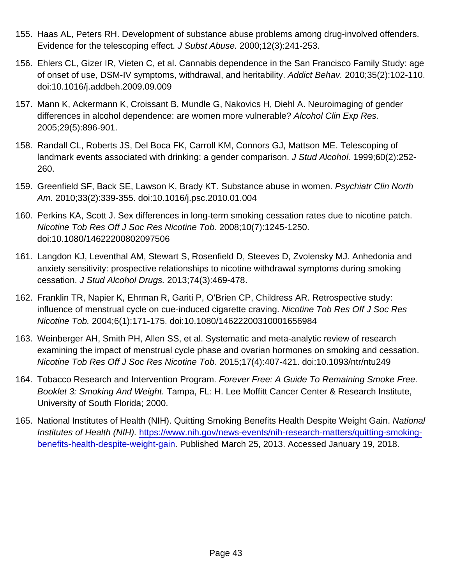- 155. Haas AL, Peters RH. Development of substance abuse problems among drug-involved offenders. Evidence for the telescoping effect. J Subst Abuse. 2000;12(3):241-253.
- 156. Ehlers CL, Gizer IR, Vieten C, et al. Cannabis dependence in the San Francisco Family Study: age of onset of use, DSM-IV symptoms, withdrawal, and heritability. Addict Behav. 2010;35(2):102-110. doi:10.1016/j.addbeh.2009.09.009
- 157. Mann K, Ackermann K, Croissant B, Mundle G, Nakovics H, Diehl A. Neuroimaging of gender differences in alcohol dependence: are women more vulnerable? Alcohol Clin Exp Res. 2005;29(5):896-901.
- 158. Randall CL, Roberts JS, Del Boca FK, Carroll KM, Connors GJ, Mattson ME. Telescoping of landmark events associated with drinking: a gender comparison. J Stud Alcohol. 1999;60(2):252- 260.
- 159. Greenfield SF, Back SE, Lawson K, Brady KT. Substance abuse in women. Psychiatr Clin North Am. 2010;33(2):339-355. doi:10.1016/j.psc.2010.01.004
- 160. Perkins KA, Scott J. Sex differences in long-term smoking cessation rates due to nicotine patch. Nicotine Tob Res Off J Soc Res Nicotine Tob. 2008;10(7):1245-1250. doi:10.1080/14622200802097506
- 161. Langdon KJ, Leventhal AM, Stewart S, Rosenfield D, Steeves D, Zvolensky MJ. Anhedonia and anxiety sensitivity: prospective relationships to nicotine withdrawal symptoms during smoking cessation. J Stud Alcohol Drugs. 2013;74(3):469-478.
- 162. Franklin TR, Napier K, Ehrman R, Gariti P, O'Brien CP, Childress AR. Retrospective study: influence of menstrual cycle on cue-induced cigarette craving. Nicotine Tob Res Off J Soc Res Nicotine Tob. 2004;6(1):171-175. doi:10.1080/14622200310001656984
- 163. Weinberger AH, Smith PH, Allen SS, et al. Systematic and meta-analytic review of research examining the impact of menstrual cycle phase and ovarian hormones on smoking and cessation. Nicotine Tob Res Off J Soc Res Nicotine Tob. 2015;17(4):407-421. doi:10.1093/ntr/ntu249
- 164. Tobacco Research and Intervention Program. Forever Free: A Guide To Remaining Smoke Free. Booklet 3: Smoking And Weight. Tampa, FL: H. Lee Moffitt Cancer Center & Research Institute, University of South Florida; 2000.
- 165. National Institutes of Health (NIH). Quitting Smoking Benefits Health Despite Weight Gain. National Institutes of Health (NIH). [https://www.nih.gov/news-events/nih-research-matters/quitting-smoking](https://www.nih.gov/news-events/nih-research-matters/quitting-smoking-benefits-health-despite-weight-gain)[benefits-health-despite-weight-gain](https://www.nih.gov/news-events/nih-research-matters/quitting-smoking-benefits-health-despite-weight-gain). Published March 25, 2013. Accessed January 19, 2018.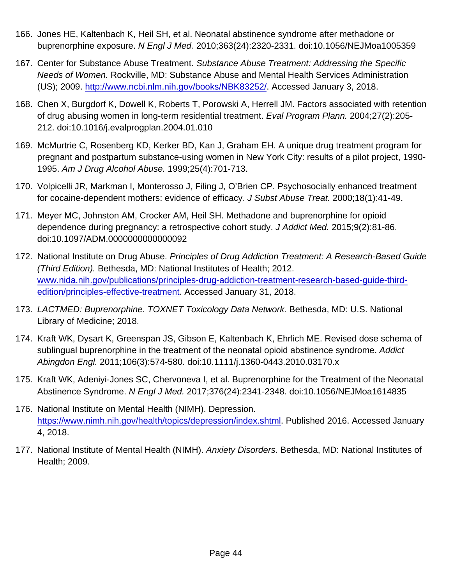- 166. Jones HE, Kaltenbach K, Heil SH, et al. Neonatal abstinence syndrome after methadone or buprenorphine exposure. N Engl J Med. 2010;363(24):2320-2331. doi:10.1056/NEJMoa1005359
- 167. Center for Substance Abuse Treatment. Substance Abuse Treatment: Addressing the Specific Needs of Women. Rockville, MD: Substance Abuse and Mental Health Services Administration (US); 2009.<http://www.ncbi.nlm.nih.gov/books/NBK83252/>. Accessed January 3, 2018.
- 168. Chen X, Burgdorf K, Dowell K, Roberts T, Porowski A, Herrell JM. Factors associated with retention of drug abusing women in long-term residential treatment. Eval Program Plann. 2004;27(2):205- 212. doi:10.1016/j.evalprogplan.2004.01.010
- 169. McMurtrie C, Rosenberg KD, Kerker BD, Kan J, Graham EH. A unique drug treatment program for pregnant and postpartum substance-using women in New York City: results of a pilot project, 1990- 1995. Am J Drug Alcohol Abuse. 1999;25(4):701-713.
- 170. Volpicelli JR, Markman I, Monterosso J, Filing J, O'Brien CP. Psychosocially enhanced treatment for cocaine-dependent mothers: evidence of efficacy. J Subst Abuse Treat. 2000;18(1):41-49.
- 171. Meyer MC, Johnston AM, Crocker AM, Heil SH. Methadone and buprenorphine for opioid dependence during pregnancy: a retrospective cohort study. J Addict Med. 2015;9(2):81-86. doi:10.1097/ADM.0000000000000092
- 172. National Institute on Drug Abuse. Principles of Drug Addiction Treatment: A Research-Based Guide (Third Edition). Bethesda, MD: National Institutes of Health; 2012. [www.nida.nih.gov/publications/principles-drug-addiction-treatment-research-based-guide-third](http://nida.nih.gov/publications/principles-drug-addiction-treatment-research-based-guide-third-edition/principles-effective-treatment)[edition/principles-effective-treatment](http://nida.nih.gov/publications/principles-drug-addiction-treatment-research-based-guide-third-edition/principles-effective-treatment). Accessed January 31, 2018.
- 173. LACTMED: Buprenorphine. TOXNET Toxicology Data Network. Bethesda, MD: U.S. National Library of Medicine; 2018.
- 174. Kraft WK, Dysart K, Greenspan JS, Gibson E, Kaltenbach K, Ehrlich ME. Revised dose schema of sublingual buprenorphine in the treatment of the neonatal opioid abstinence syndrome. Addict Abingdon Engl. 2011;106(3):574-580. doi:10.1111/j.1360-0443.2010.03170.x
- 175. Kraft WK, Adeniyi-Jones SC, Chervoneva I, et al. Buprenorphine for the Treatment of the Neonatal Abstinence Syndrome. N Engl J Med. 2017;376(24):2341-2348. doi:10.1056/NEJMoa1614835
- 176. National Institute on Mental Health (NIMH). Depression. [https://www.nimh.nih.gov/health/topics/depression/index.shtml.](https://www.nimh.nih.gov/health/topics/depression/index.shtml) Published 2016. Accessed January 4, 2018.
- 177. National Institute of Mental Health (NIMH). Anxiety Disorders. Bethesda, MD: National Institutes of Health; 2009.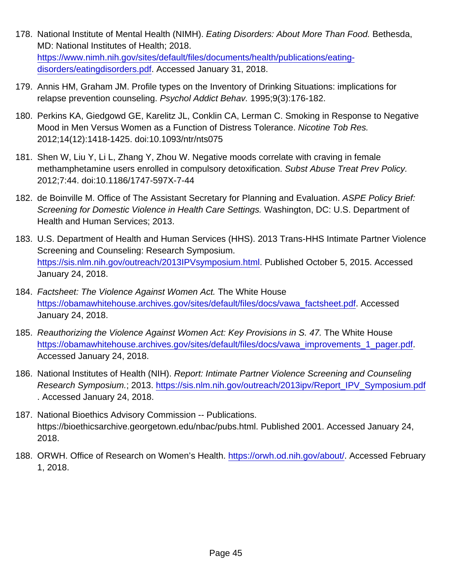- 178. National Institute of Mental Health (NIMH). Eating Disorders: About More Than Food. Bethesda, MD: National Institutes of Health; 2018. [https://www.nimh.nih.gov/sites/default/files/documents/health/publications/eating](https://www.nimh.nih.gov/sites/default/files/documents/health/publications/eating-disorders/eatingdisorders.pdf)[disorders/eatingdisorders.pdf](https://www.nimh.nih.gov/sites/default/files/documents/health/publications/eating-disorders/eatingdisorders.pdf). Accessed January 31, 2018.
- 179. Annis HM, Graham JM. Profile types on the Inventory of Drinking Situations: implications for relapse prevention counseling. Psychol Addict Behav. 1995;9(3):176-182.
- 180. Perkins KA, Giedgowd GE, Karelitz JL, Conklin CA, Lerman C. Smoking in Response to Negative Mood in Men Versus Women as a Function of Distress Tolerance. Nicotine Tob Res. 2012;14(12):1418-1425. doi:10.1093/ntr/nts075
- 181. Shen W, Liu Y, Li L, Zhang Y, Zhou W. Negative moods correlate with craving in female methamphetamine users enrolled in compulsory detoxification. Subst Abuse Treat Prev Policy. 2012;7:44. doi:10.1186/1747-597X-7-44
- 182. de Boinville M. Office of The Assistant Secretary for Planning and Evaluation. ASPE Policy Brief: Screening for Domestic Violence in Health Care Settings. Washington, DC: U.S. Department of Health and Human Services; 2013.
- 183. U.S. Department of Health and Human Services (HHS). 2013 Trans-HHS Intimate Partner Violence Screening and Counseling: Research Symposium. <https://sis.nlm.nih.gov/outreach/2013IPVsymposium.html>. Published October 5, 2015. Accessed January 24, 2018.
- 184. Factsheet: The Violence Against Women Act. The White House [https://obamawhitehouse.archives.gov/sites/default/files/docs/vawa\\_factsheet.pdf](https://obamawhitehouse.archives.gov/sites/default/files/docs/vawa_factsheet.pdf). Accessed January 24, 2018.
- 185. Reauthorizing the Violence Against Women Act: Key Provisions in S. 47. The White House [https://obamawhitehouse.archives.gov/sites/default/files/docs/vawa\\_improvements\\_1\\_pager.pdf](https://obamawhitehouse.archives.gov/sites/default/files/docs/vawa_improvements_1_pager.pdf). Accessed January 24, 2018.
- 186. National Institutes of Health (NIH). Report: Intimate Partner Violence Screening and Counseling Research Symposium.; 2013. [https://sis.nlm.nih.gov/outreach/2013ipv/Report\\_IPV\\_Symposium.pdf](https://sis.nlm.nih.gov/outreach/2013ipv/Report_IPV_Symposium.pdf) . Accessed January 24, 2018.
- 187. National Bioethics Advisory Commission -- Publications. https://bioethicsarchive.georgetown.edu/nbac/pubs.html. Published 2001. Accessed January 24, 2018.
- 188. ORWH. Office of Research on Women's Health. [https://orwh.od.nih.gov/about/.](https://orwh.od.nih.gov/about/) Accessed February 1, 2018.